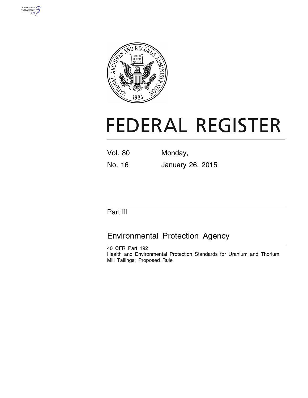



# **FEDERAL REGISTER**

Vol. 80 Monday,

No. 16 January 26, 2015

## Part III

## Environmental Protection Agency

40 CFR Part 192 Health and Environmental Protection Standards for Uranium and Thorium Mill Tailings; Proposed Rule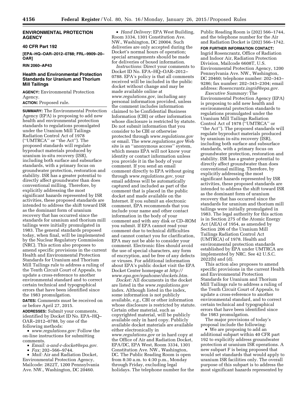#### **ENVIRONMENTAL PROTECTION AGENCY**

#### **40 CFR Part 192**

**[EPA–HQ–OAR–2012–0788; FRL–9909–20– OAR]** 

**RIN 2060–AP43** 

#### **Health and Environmental Protection Standards for Uranium and Thorium Mill Tailings**

**AGENCY:** Environmental Protection Agency.

**ACTION:** Proposed rule.

**SUMMARY:** The Environmental Protection Agency (EPA) is proposing to add new health and environmental protection standards to regulations promulgated under the Uranium Mill Tailings Radiation Control Act of 1978 (''UMTRCA'' or ''the Act''). The proposed standards will regulate byproduct materials produced by uranium in-situ recovery (ISR), including both surface and subsurface standards, with a primary focus on groundwater protection, restoration and stability. ISR has a greater potential to directly affect groundwater than does conventional milling. Therefore, by explicitly addressing the most significant hazards represented by ISR activities, these proposed standards are intended to address the shift toward ISR as the dominant form of uranium recovery that has occurred since the standards for uranium and thorium mill tailings were initially promulgated in 1983. The general standards proposed today, when final, will be implemented by the Nuclear Regulatory Commission (NRC). This action also proposes to amend specific provisions in the current Health and Environmental Protection Standards for Uranium and Thorium Mill Tailings rule to address a ruling of the Tenth Circuit Court of Appeals, to update a cross-reference to another environmental standard and to correct certain technical and typographical errors that have been identified since the 1983 promulgation.

**DATES:** Comments must be received on or before April 27, 2015.

**ADDRESSES:** Submit your comments, identified by Docket ID No. EPA–HQ– OAR–2012–0788, by one of the following methods:

• *[www.regulations.gov:](http://www.regulations.gov)* Follow the on-line instructions for submitting comments.

- *Email: [a-and-r-docket@epa.gov.](mailto:a-and-r-docket@epa.gov)*
- *Fax:* 202–566–9744.

• *Mail:* Air and Radiation Docket, Environmental Protection Agency, Mailcode: 2822T, 1200 Pennsylvania Ave. NW., Washington, DC 20460.

• *Hand Delivery:* EPA West Building, Room 3334, 1301 Constitution Ave. NW., Washington, DC 20004. Such deliveries are only accepted during the Docket's normal hours of operation; special arrangements should be made for deliveries of boxed information.

*Instructions:* Direct your comments to Docket ID No. EPA–HQ–OAR–2012– 0788. EPA's policy is that all comments received will be included in the public docket without change and may be made available online at *[www.regulations.gov,](http://www.regulations.gov)* including any personal information provided, unless the comment includes information claimed to be Confidential Business Information (CBI) or other information whose disclosure is restricted by statute. Do not submit information that you consider to be CBI or otherwise protected through *[www.regulations.gov](http://www.regulations.gov)*  or email. The *[www.regulations.gov](http://www.regulations.gov)* Web site is an ''anonymous access'' system, which means EPA will not know your identity or contact information unless you provide it in the body of your comment. If you send an email comment directly to EPA without going through *[www.regulations.gov,](http://www.regulations.gov)* your email address will be automatically captured and included as part of the comment that is placed in the public docket and made available on the Internet. If you submit an electronic comment, EPA recommends that you include your name and other contact information in the body of your comment and with any disk or CD–ROM you submit. If EPA cannot read your comment due to technical difficulties and cannot contact you for clarification, EPA may not be able to consider your comment. Electronic files should avoid the use of special characters, any form of encryption, and be free of any defects or viruses. For additional information about EPA's public docket visit the EPA Docket Center homepage at *[http://](http://www.epa.gov/epahome/dockets.htm) [www.epa.gov/epahome/dockets.htm.](http://www.epa.gov/epahome/dockets.htm)* 

*Docket:* All documents in the docket are listed in the *[www.regulations.gov](http://www.regulations.gov)*  index. Although listed in the index, some information is not publicly available, *e.g.,* CBI or other information whose disclosure is restricted by statute. Certain other material, such as copyrighted material, will be publicly available only in hard copy. Publicly available docket materials are available either electronically in *[www.regulations.gov](http://www.regulations.gov)* or in hard copy at the Office of Air and Radiation Docket, EPA/DC, EPA West, Room 3334, 1301 Constitution Ave. NW., Washington, DC. The Public Reading Room is open from 8:30 a.m. to 4:30 p.m., Monday through Friday, excluding legal holidays. The telephone number for the

Public Reading Room is (202) 566–1744, and the telephone number for the Air and Radiation Docket is (202) 566–1742.

**FOR FURTHER INFORMATION CONTACT:**  Ingrid Rosencrantz, Office of Radiation and Indoor Air, Radiation Protection Division, Mailcode 6608T, U.S. Environmental Protection Agency, 1200 Pennsylvania Ave. NW., Washington, DC 20460; telephone number: 202–343– 9286; fax number: 202–343–2304; email address: *[Rosencrantz.ingrid@epa.gov.](mailto:Rosencrantz.ingrid@epa.gov)* 

*Executive Summary:* The Environmental Protection Agency (EPA) is proposing to add new health and environmental protection standards to regulations promulgated under the Uranium Mill Tailings Radiation Control Act of 1978 (''UMTRCA'' or ''the Act''). The proposed standards will regulate byproduct materials produced by uranium in-situ recovery (ISR), including both surface and subsurface standards, with a primary focus on groundwater protection, restoration and stability. ISR has a greater potential to directly affect groundwater than does conventional milling. Therefore, by explicitly addressing the most significant hazards represented by ISR activities, these proposed standards are intended to address the shift toward ISR as the dominant form of uranium recovery that has occurred since the standards for uranium and thorium mill tailings were initially promulgated in 1983. The legal authority for this action is in Section 275 of the Atomic Energy Act (AEA) of 1954, as amended by Section 206 of the Uranium Mill Tailings Radiation Control Act (UMTRCA) of 1978. Health and environmental protection standards established by EPA under UMTRCA are implemented by NRC. See 42 U.S.C. 2022(b) and (d).

This action also proposes to amend specific provisions in the current Health and Environmental Protection Standards for Uranium and Thorium Mill Tailings rule to address a ruling of the Tenth Circuit Court of Appeals, to update a cross-reference to another environmental standard, and to correct certain technical and typographical errors that have been identified since the 1983 promulgation.

The major provisions of today's proposal include the following:

• We are proposing to add an additional subpart within 40 CFR part 192 to explicitly address groundwater protection at uranium ISR operations. A new subpart F is being proposed that would set standards that would apply to uranium ISR facilities only. The overall purpose of this subpart is to address the most significant hazards represented by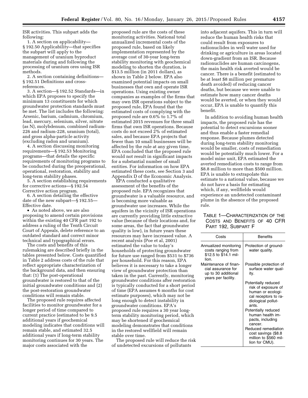ISR activities. This subpart adds the following:

1. A section on applicability— § 192.50 Applicability—that specifies the subpart will apply to the management of uranium byproduct materials during and following the processing of uranium ores using ISR methods.

2. A section containing definitions— § 192.51 Definitions and crossreferences.

3. A section—§ 192.52 Standards—in which EPA proposes to specify the minimum 13 constituents for which groundwater protection standards must be met. The list includes the following: Arsenic, barium, cadmium, chromium, lead, mercury, selenium, silver, nitrate (as N), molybdenum, combined radium-226 and radium-228, uranium (total), and gross alpha-particle activity (excluding radon and uranium).

4. A section discussing monitoring requirements—§ 192.53 Monitoring programs—that details the specific requirements of monitoring programs to be conducted during the preoperational, operational, restoration, stability and long-term stability phases.

5. A section establishing requirements for corrective actions—§ 192.54 Corrective action program.

6. A section detailing the effective date of the new subpart—§ 192.55— Effective date.

• As noted above, we are also proposing to amend certain provisions within the existing 40 CFR part 192 to address a ruling of the Tenth Circuit Court of Appeals, delete reference to an outdated standard and correct minor technical and typographical errors.

The costs and benefits of this rulemaking are described briefly in the tables presented below. Costs quantified in Table 2 address costs of the rule that reflect appropriate characterization of the background data, and then ensuring that: (1) The post-operational groundwater is restored to that of the initial groundwater conditions and (2) the post-restoration groundwater conditions will remain stable.

The proposed rule requires affected facilities to monitor groundwater for a longer period of time compared to current practice (estimated to be 9.5 additional years if geochemical modeling indicates that conditions will remain stable, and estimated 32.5 additional years if long-term stability monitoring continues for 30 years. The major costs associated with the

proposed rule are the costs of these monitoring activities. National total annualized incremental costs of the proposed rule, based on likely implementation represented by the average cost of 30-year long-term stability monitoring with geochemical modeling to shorten the duration, is \$13.5 million (in 2011 dollars), as shown in Table 2 below. EPA also examined potential impacts on small businesses that own and operate ISR operations. Using existing owner companies as examples of the firms that may own ISR operations subject to the proposed rule, EPA found that the estimated costs of complying with the proposed rule are 0.6% to 1.7% of estimated 2015 revenues for three small firms that own ISR operations. Because costs do not exceed 2% of estimated sales, and because EPA projects that fewer than 10 small businesses will be affected by the rule at any given time, EPA concluded that the proposed rule would not result in significant impacts for a substantial number of small entities. For information on how EPA estimated these costs, see Section 3 and Appendix D of the Economic Analysis.

EPA conducted a qualitative assessment of the benefits of the proposed rule. EPA recognizes that groundwater is a valuable resource, and is becoming more valuable as groundwater use increases. While the aquifers in the vicinity of ISR operations are currently providing little extractive value (because of their locations and, for some areas, the fact that groundwater quality is low), in future years these resources may have increased value. A recent analysis (Poe et al, 2001) estimated the value to today's households of protecting groundwater for future use ranged from \$531 to \$736 per household. For this reason, EPA believes it is necessary to take a longer view of groundwater protection than taken in the past. Currently, monitoring groundwater conditions after restoration is typically conducted for a short period of time (EPA assumes 6 months for cost estimate purposes), which may not be long enough to detect instability in groundwater conditions. EPA's proposed rule requires a 30 year longterm stability monitoring period, which may be shortened if geochemical modeling demonstrates that conditions in the restored wellfield will remain stable over time.

The proposed rule will reduce the risk of undetected excursions of pollutants

into adjacent aquifers. This in turn will reduce the human health risks that could result from exposures to radionuclides in well water used for drinking or agriculture in areas located down-gradient from an ISR. Because radionuclides are human carcinogens, the main health risk averted would be cancer. There is a benefit (estimated to be at least \$8 million per premature death avoided) of reducing cancer deaths, but because we were unable to estimate how many cancer deaths would be averted, or when they would occur, EPA is unable to quantify this benefit.

In addition to avoiding human health impacts, the proposed rule has the potential to detect excursions sooner and thus enable a faster remedial response. Because plumes detected during long-term stability monitoring would be smaller, costs of remediation would be potentially much lower. For a model mine unit, EPA estimated the averted remediation costs to range from \$8.8 million to more than \$500 million. EPA is unable to extrapolate this estimate to a national value, because we do not have a basis for estimating which, if any, wellfields would experience an undetected contaminant plume in the absence of the proposed rule.

### TABLE 1—CHARACTERIZATION OF THE COSTS AND BENEFITS OF 40 CFR PART 192, SUBPART F

| Costs                                                                                     | <b>Benefits</b>                                                                                                                                                                                                                                                                           |
|-------------------------------------------------------------------------------------------|-------------------------------------------------------------------------------------------------------------------------------------------------------------------------------------------------------------------------------------------------------------------------------------------|
| Annualized monitoring<br>costs ranging from<br>\$12.5 to \$14.1 mil-<br>lion.             | Protection of ground-<br>water quality.                                                                                                                                                                                                                                                   |
| Maintenance of finan-<br>cial assurance for<br>up to 30 additional<br>years per facility. | Possible protection of<br>surface water qual-<br>ity.                                                                                                                                                                                                                                     |
|                                                                                           | Potentially reduced<br>risk of exposure of<br>human or ecologi-<br>cal receptors to ra-<br>diological pollut-<br>ants.<br>Potentially reduced<br>human health im-<br>pacts, including<br>cancer.<br>Reduced remediation<br>cost savings (\$8.8<br>million to \$560 mil-<br>lion for CMU). |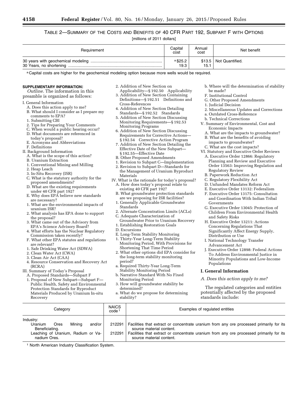## TABLE 2—SUMMARY OF THE COSTS AND BENEFITS OF 40 CFR PART 192, SUBPART F WITH OPTIONS

[millions of 2011 dollars]

| Requirement | Capital<br>cost           | Annual<br>cost | Net benefit              |
|-------------|---------------------------|----------------|--------------------------|
|             | $^{\circ}$ \$25.2<br>19.3 | 15.1           | \$13.5   Not Quantified. |

a Capital costs are higher for the geochemical modeling option because more wells would be required.

#### **SUPPLEMENTARY INFORMATION:**

*Outline.* The information in this preamble is organized as follows:

- I. General Information
	- A. Does this action apply to me?
	- B. What should I consider as I prepare my comments to EPA?
	- 1. Submitting CBI
	- 2. Tips for Preparing Your Comments
	- C. When would a public hearing occur?
	- D. What documents are referenced in today's proposal?
	- E. Acronyms and Abbreviations
	- F. Definitions
- II. Background Information
	- A. What is the scope of this action?
	- B. Uranium Extraction
	- 1. Conventional Mining and Milling
	- 2. Heap Leach
	- 3. In-Situ Recovery (ISR)
	- C. What is the statutory authority for the proposed amendments?
	- D. What are the existing requirements under 40 CFR part 192?
	- E. Why does EPA believe new standards are necessary?
	- 1. What are the environmental impacts of uranium ISR?
	- 2. What analysis has EPA done to support the proposal?
	- 3. What came out of the Advisory from EPA's Science Advisory Board?
	- 4. What efforts has the Nuclear Regulatory Commission taken recently?
	- F. What other EPA statutes and regulations are relevant?
	- 1. Safe Drinking Water Act (SDWA)
	- 2. Clean Water Act (CWA)
	- 3. Clean Air Act (CAA)
	- 4. Resource Conservation and Recovery Act (RCRA)
- III. Summary of Today's Proposal
- A. Proposed Standards—Subpart F
- 1. Proposal of New Subpart—Subpart F— Public Health, Safety and Environmental Protection Standards for Byproduct Materials Produced by Uranium In-situ Recovery
- 2. Addition of New Section on Applicability—§ 192.50 Applicability
- 3. Addition of New Section Containing Definitions—§ 192.51 Definitions and
- Cross-References 4. Addition of New Section Detailing
- Standards—§ 192.52 Standards
- 5. Addition of New Section Discussing Monitoring Requirements—§ 192.53 Monitoring Programs
- 6. Addition of New Section Discussing Requirements for Corrective Actions— § 192.54 Corrective Action Program
- 7. Addition of New Section Detailing the Effective Date of the New Subpart— § 192.55—Effective Date
- B. Other Proposed Amendments
- 1. Revision to Subpart C—Implementation 2. Revision to Subpart D—Standards for
- the Management of Uranium Byproduct Materials IV. What is the rationale for today's proposal?
- A. How does today's proposal relate to existing 40 CFR part 192?
- B. What groundwater protection standards are we proposing for ISR facilities?
- 1. Generally Applicable Groundwater Standards
- 2. Alternate Concentration Limits (ACLs) C. Adequate Characterization of
- Groundwater Prior to Uranium Recovery 1. Establishing Restoration Goals
- D. Excursions
- E. Long-Term Stability Monitoring
- 1. Thirty-Year Long-Term Stability Monitoring Period, With Provisions for Shortening That Time Period
- 2. What other options did EPA consider for the long-term stability monitoring period?
- a. Required Thirty-Year Long-Term Stability Monitoring Period
- b. Narrative Standard With No Fixed Monitoring Period
- 3. How will groundwater stability be determined?
- a. What do we propose for determining stability?
- b. Where will the determination of stability be made?
- F. Institutional Control
- G. Other Proposed Amendments
- 1. Judicial Decision
- 2. Miscellaneous Updates and Corrections
- a. Outdated Cross-Reference
- b. Technical Corrections
- V. Summary of Environmental, Cost and Economic Impacts
	- A. What are the impacts to groundwater?
	- B. What are the benefits of avoiding
	- impacts to groundwater?
- C. What are the cost impacts?
- VI. Statutory and Executive Order Reviews A. Executive Order 12866: Regulatory Planning and Review and Executive Order 13563: Improving Regulation and Regulatory Review
	- B. Paperwork Reduction Act
	- C. Regulatory Flexibility Act
	- D. Unfunded Mandates Reform Act
	- E. Executive Order 13132: Federalism F. Executive Order 13175: Consultation and Coordination With Indian Tribal Governments
	- G. Executive Order 13045: Protection of Children From Environmental Health and Safety Risks
	- H. Executive Order 13211: Actions Concerning Regulations That Significantly Affect Energy Supply, Distribution or Use
	- I. National Technology Transfer Advancement Act
	- J. Executive Order 12898: Federal Actions To Address Environmental Justice in Minority Populations and Low-Income Populations

#### **I. General Information**

*A. Does this action apply to me?* 

The regulated categories and entities potentially affected by the proposed standards include:

| Industrv:<br>Minina<br>and/or<br>212291<br>Uranium<br>Ores                               | Category       | <b>NAICS</b><br>code <sup>1</sup> | Examples of regulated entities                                                                                                                                                                                 |
|------------------------------------------------------------------------------------------|----------------|-----------------------------------|----------------------------------------------------------------------------------------------------------------------------------------------------------------------------------------------------------------|
| Leaching of Uranium, Radium or Va-<br>212291<br>nadium Ores.<br>source material content. | Beneficiating. |                                   | Facilities that extract or concentrate uranium from any ore processed primarily for its<br>source material content.<br>Facilities that extract or concentrate uranium from any ore processed primarily for its |

1 North American Industry Classification System.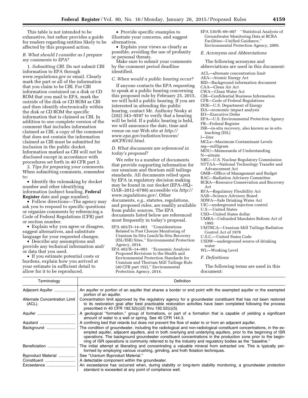This table is not intended to be exhaustive, but rather provides a guide for readers regarding entities likely to be affected by this proposed action.

#### *B. What should I consider as I prepare my comments to EPA?*

1. *Submitting CBI.* Do not submit CBI information to EPA through *[www.regulations.gov](http://www.regulations.gov)* or email. Clearly mark the part or all of the information that you claim to be CBI. For CBI information contained on a disk or CD ROM that you mail to EPA, mark the outside of the disk or CD ROM as CBI and then identify electronically within the disk or CD ROM the specific information that is claimed as CBI. In addition to one complete version of the comment that includes information claimed as CBI, a copy of the comment that does not contain the information claimed as CBI must be submitted for inclusion in the public docket. Information marked as CBI will not be disclosed except in accordance with procedures set forth in 40 CFR part 2.

2. *Tips for preparing your comments.*  When submitting comments, remember to:

• Identify the rulemaking by docket number and other identifying information (subject heading, **Federal Register** date and page number).

• Follow directions—The agency may ask you to respond to specific questions or organize comments by referencing a Code of Federal Regulations (CFR) part or section number.

• Explain why you agree or disagree, suggest alternatives, and substitute language for your requested changes.

• Describe any assumptions and provide any technical information and/ or data that you used.

• If you estimate potential costs or burdens, explain how you arrived at your estimate in sufficient detail to allow for it to be reproduced.

• Provide specific examples to illustrate your concerns, and suggest alternatives.

• Explain your views as clearly as possible, avoiding the use of profanity or personal threats.

Make sure to submit your comments by the comment period deadline identified.

#### *C. When would a public hearing occur?*

If anyone contacts the EPA requesting to speak at a public hearing concerning this proposed rule by February 25, 2015, we will hold a public hearing. If you are interested in attending the public hearing, contact Mr. Anthony Nesky at (202) 343–9597 to verify that a hearing will be held. If a public hearing is held, we will announce the date, time and venue on our Web site at *[http://](http://www.epa.gov/radiation/tenorm/40CFR192.html) [www.epa.gov/radiation/tenorm/](http://www.epa.gov/radiation/tenorm/40CFR192.html) [40CFR192.html.](http://www.epa.gov/radiation/tenorm/40CFR192.html)* 

*D. What documents are referenced in today's proposal?* 

We refer to a number of documents that provide supporting information for our uranium and thorium mill tailings standards. All documents relied upon by EPA in regulatory decision making may be found in our docket (EPA–HQ– OAR–2012–0788) accessible via *[http://](http://www.regulations.gov/) [www.regulations.gov/.](http://www.regulations.gov/)* Other documents, *e.g.,* statutes, regulations, and proposed rules, are readily available from public sources. The EPA documents listed below are referenced most frequently in today's proposal.

- EPA 402/D–14–001 ''Considerations Related to Post Closure Monitoring of Uranium In-Situ Leach/In-Situ Recovery (ISL/ISR) Sites,'' Environmental Protection Agency, 2014.
- EPA 402/R–14–003 ''Economic Analysis: Proposed Revisions to the Health and Environmental Protection Standards for Uranium and Thorium Mill Tailings Rule (40 CFR part 192),'' Environmental Protection Agency, 2014.

EPA 530/R–09–007 ''Statistical Analysis of Groundwater Monitoring Data at RCRA Facilities—Unified Guidance,'' Environmental Protection Agency, 2009.

#### *E. Acronyms and Abbreviations*

The following acronyms and abbreviations are used in this document:

ACL—alternate concentration limit

AEA—Atomic Energy Act BID—Background information document

CAA—Clean Air Act

CWA—Clean Water Act

CBI—Confidential Business Information

CFR—Code of Federal Regulations

DOE—U.S. Department of Energy

EIA—economic impact analysis

EO—Executive Order

EPA—U.S. Environmental Protection Agency FR—Federal Register

ISR—in-situ recovery, also known as in-situ leaching (ISL)

l—liter

MCLs—Maximum Contaminant Levels

mg—milligram

MOU—Memoranda of Understanding N—nitrate

NRC—U.S. Nuclear Regulatory Commission NTTAA—National Technology Transfer and Advancement Act

OMB—Office of Management and Budget

RAC—Radiation Advisory Committee

RCRA—Resource Conservation and Recovery

Act

RFA—Regulatory Flexibility Act

SAB—Science Advisory Board

SDWA—Safe Drinking Water Act

UIC—underground injection control

U.S.—United States

USD—United States dollar

- UMRA—Unfunded Mandates Reform Act of 1995
- UMTRCA—Uranium Mill Tailings Radiation Control Act of 1978

U.S.C.—United States Code

USDW—underground source of drinking water

WL—Working Level

#### *F. Definitions*

The following terms are used in this document:

| Terminology                             | Definition                                                                                                                                                                                                                                                                                                                                                                                                                                                         |
|-----------------------------------------|--------------------------------------------------------------------------------------------------------------------------------------------------------------------------------------------------------------------------------------------------------------------------------------------------------------------------------------------------------------------------------------------------------------------------------------------------------------------|
| Adjacent Aquifer                        | An aquifer or portion of an aquifer that shares a border or end point with the exempted aquifer or the exempted<br>portion of an aquifer.                                                                                                                                                                                                                                                                                                                          |
| Alternate Concentration Limit<br>(ACL). | Concentration limit approved by the regulatory agency for a groundwater constituent that has not been restored<br>to its restoration goal after best practicable restoration activities have been completed following the process<br>prescribed in 40 CFR 192.52(c)(2) thru 192.52(c)(5).                                                                                                                                                                          |
|                                         | A geological "formation," group of formations, or part of a formation that is capable of yielding a significant<br>amount of water to a well or spring. See 40 CFR 144.3.                                                                                                                                                                                                                                                                                          |
|                                         | A confining bed that retards but does not prevent the flow of water to or from an adjacent aquifer.                                                                                                                                                                                                                                                                                                                                                                |
| Background                              | The condition of groundwater, including the radiological and non-radiological constituent concentrations, in the ex-<br>empted aquifer, adjacent aquifers, and in both overlying and underlying aquifers, prior to the beginning of ISR<br>operations. The background groundwater constituent concentrations in the production zone prior to the begin-<br>ning of ISR operations is commonly referred to by the industry and regulatory bodies as the "baseline." |
| Beneficiation                           | The initial attempt at liberating and concentrating a valuable mineral from extracted ore. This is typically per-<br>formed by employing various crushing, grinding, and froth flotation techniques.                                                                                                                                                                                                                                                               |
| Byproduct Material                      | See "Uranium Byproduct Material."                                                                                                                                                                                                                                                                                                                                                                                                                                  |
| Constituent                             | A detectable component within the groundwater.                                                                                                                                                                                                                                                                                                                                                                                                                     |
| Exceedance                              | An exceedance has occurred when, during stability or long-term stability monitoring, a groundwater protection<br>standard is exceeded at any point of compliance well.                                                                                                                                                                                                                                                                                             |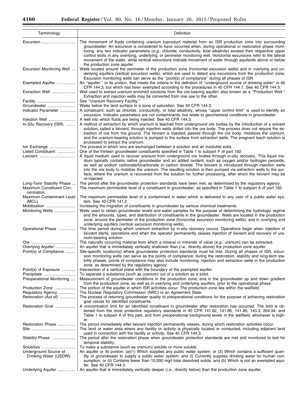| Terminology                                                          | Definition                                                                                                                                                                                                                                                                                                                                                                                                                                                                                                                                                                                           |
|----------------------------------------------------------------------|------------------------------------------------------------------------------------------------------------------------------------------------------------------------------------------------------------------------------------------------------------------------------------------------------------------------------------------------------------------------------------------------------------------------------------------------------------------------------------------------------------------------------------------------------------------------------------------------------|
| Excursion                                                            | The movement of fluids containing uranium byproduct material from an ISR production zone into surrounding<br>groundwater. An excursion is considered to have occurred when, during operational or restoration phase moni-<br>toring, any two indicator parameters (e.g., chloride, conductivity, total alkalinity) exceed their respective upper                                                                                                                                                                                                                                                     |
|                                                                      | control limits in any overlying, underlying, or perimeter monitoring well. Horizontal excursions refer to the lateral<br>movement of the water, while vertical excursions indicate movement of water through aguitards above or below<br>the production zone aquifer.                                                                                                                                                                                                                                                                                                                                |
| Excursion Monitoring Well                                            | Wells located around the perimeter of the production zone (horizontal excursion wells) and in overlying and un-<br>derlying aquifers (vertical excursion wells), which are used to detect any excursions from the production zone.<br>Excursion monitoring wells can serve as the "point(s) of compliance" during all phases of ISR.                                                                                                                                                                                                                                                                 |
| Exempted Aquifer                                                     | An "aquifer," or its portion, that meets the criteria in the definition of "underground source of drinking water" in 40<br>CFR 144.3, but which has been exempted according to the procedures in 40 CFR 144.7. See 40 CFR 144.3.                                                                                                                                                                                                                                                                                                                                                                     |
| Extraction Well                                                      | Well used to extract uranium enriched solutions from the ore-bearing aquifer; also known as a "Production Well."<br>Extraction and injection wells may be converted from one use to the other.                                                                                                                                                                                                                                                                                                                                                                                                       |
|                                                                      | See "Uranium Recovery Facility."                                                                                                                                                                                                                                                                                                                                                                                                                                                                                                                                                                     |
| Groundwater<br>Indicator Parameter                                   | Water below the land surface in a zone of saturation. See 40 CFR 144.3.<br>A constituent, such as chloride, conductivity, or total alkalinity, whose "upper control limit" is used to identify an<br>excursion. Indicator parameters are not contaminants, but relate to geochemical conditions in groundwater.                                                                                                                                                                                                                                                                                      |
| Injection Well                                                       | A well into which fluids are being injected. See 40 CFR 144.3.                                                                                                                                                                                                                                                                                                                                                                                                                                                                                                                                       |
| In-Situ Recovery (ISR)                                               | A method of extraction by which uranium is leached from underground ore bodies by the introduction of a solvent<br>solution, called a lixiviant, through injection wells drilled into the ore body. The process does not require the ex-<br>traction of ore from the ground. The lixiviant is injected, passes through the ore body, mobilizes the uranium,<br>and the uranium-bearing solution is pumped to the surface from extraction wells. The pregnant leach solution is<br>processed to extract the uranium.                                                                                  |
| Ion Exchange<br>Listed Constituent                                   | The process in which ions are exchanged between a solution and an insoluble solid.<br>One of the thirteen groundwater constituents specified in Table 1 to subpart F of part 192.                                                                                                                                                                                                                                                                                                                                                                                                                    |
| Lixiviant                                                            | A liquid medium used to recover uranium from underground ore bodies through in-situ recovery. This liquid me-<br>dium typically contains native groundwater and an added oxidant, such as oxygen and/or hydrogen peroxide,<br>as well as sodium carbonate/bicarbonate or carbon dioxide. The lixiviant is introduced through injection wells<br>into the ore body to mobilize the uranium. The resulting solution is then pumped via extraction wells to the sur-<br>face, where the uranium is recovered from the solution for further processing, after which the lixiviant may be<br>re-injected. |
| Long-Term Stability Phase<br>Maximum Constituent Con-<br>centration. | The period after the groundwater protection standards have been met, as determined by the regulatory agency.<br>The maximum permissible level of a constituent in groundwater, as specified in Table 1 to subpart A of part 192.                                                                                                                                                                                                                                                                                                                                                                     |
| Maximum Contaminant Level<br>(MCL).                                  | The maximum permissible level of a contaminant in water which is delivered to any user of a public water sys-<br>tem. See 40 CFR 141.2.                                                                                                                                                                                                                                                                                                                                                                                                                                                              |
| Mobilization<br>Monitoring Wells                                     | Increasing the migration of constituents in groundwater by various chemical treatments.<br>Wells used to obtain groundwater levels and water samples for the purpose of determining the hydrologic regime<br>and the amounts, types, and distribution of constituents in the groundwater. Wells are located in the production<br>zone, around the perimeter of the production zone (horizontal excursion monitoring wells), and in overlying and<br>underlying aquifers (vertical excursion monitoring wells).                                                                                       |
| Operational Phase                                                    | The time period during which uranium extraction by in-situ recovery occurs. Operations begin when injection of<br>lixiviant starts; operations end when the operator permanently ceases injection of lixiviant and recovery of ura-<br>nium-bearing solution.                                                                                                                                                                                                                                                                                                                                        |
|                                                                      | The naturally occurring material from which a mineral or minerals of value (e.g., uranium) can be extracted.                                                                                                                                                                                                                                                                                                                                                                                                                                                                                         |
| Overlying Aquifer<br>Point(s) of Compliance                          | An aquifer that is immediately vertically shallower than $(i.e.,$ directly above) the production zone aquifer.<br>Site-specific location(s) where groundwater protection standards must be met. During all phases of ISR, excur-<br>sion monitoring wells can serve as the points of compliance; during the restoration, stability and long-term sta-<br>bility phases, points of compliance may also include monitoring, injection and extraction wells in the production<br>zone, as determined by the regulatory agency.                                                                          |
| Point(s) of Exposure                                                 | Intersection of a vertical plane with the boundary of the exempted aquifer.                                                                                                                                                                                                                                                                                                                                                                                                                                                                                                                          |
| Precipitate<br>Preoperational Monitoring                             | To separate a substance (such as uranium) out of a solution as a solid.<br>Measurement of groundwater conditions in the production zone, and in the groundwater up and down gradient                                                                                                                                                                                                                                                                                                                                                                                                                 |
| Production Zone                                                      | from the production zone, as well as in overlying and underlying aquifers, prior to the operational phase.<br>The portion of the aquifer in which ISR activities occur. The production zone lies within the wellfield.                                                                                                                                                                                                                                                                                                                                                                               |
| Regulatory Agency                                                    | The Nuclear Regulatory Commission (NRC) or an Agreement State.                                                                                                                                                                                                                                                                                                                                                                                                                                                                                                                                       |
| Restoration (Act of)                                                 | The process of returning groundwater quality to preoperational conditions for the purpose of achieving restoration<br>goal values for identified constituents.                                                                                                                                                                                                                                                                                                                                                                                                                                       |
| Restoration Goal                                                     | A concentration limit for an identified constituent in groundwater after restoration has occurred. The limit is ob-<br>tained from the most protective regulatory standards in 40 CFR 141.62, 141.66, 141.80, 143.3, 264.94, and<br>Table 1 to subpart A of this part, and from preoperational background levels in the wellfield, whichever is high-<br>er.                                                                                                                                                                                                                                         |
| Restoration Phase                                                    | The period immediately after lixiviant injection permanently ceases, during which restoration activities occur.<br>The land or water area where any facility or activity is physically located or conducted, including adjacent land<br>used in connection with the facility or activity. See 40 CFR 144.3.                                                                                                                                                                                                                                                                                          |
| Stability Phase                                                      | The period after the restoration phase when groundwater protection standards are met and monitored to test for<br>temporal stability.                                                                                                                                                                                                                                                                                                                                                                                                                                                                |
| Solubilize                                                           | To make a substance (such as uranium) soluble or more soluble.                                                                                                                                                                                                                                                                                                                                                                                                                                                                                                                                       |
| Underground Source of<br>Drinking Water (USDW).                      | An aquifer or its portion: (a)(1) Which supplies any public water system; or (2) Which contains a sufficient quan-<br>tity of groundwater to supply a public water system; and (i) Currently supplies drinking water for human con-<br>sumption; or (ii) Contains fewer than 10,000 mg/l total dissolved solids; and (b) Which is not an exempted aqui-<br>fer. See 40 CFR 144.3.                                                                                                                                                                                                                    |
| Underlying Aquifer                                                   | An aquifer that is immediately vertically deeper <i>(i.e., directly below)</i> than the production zone aquifer.                                                                                                                                                                                                                                                                                                                                                                                                                                                                                     |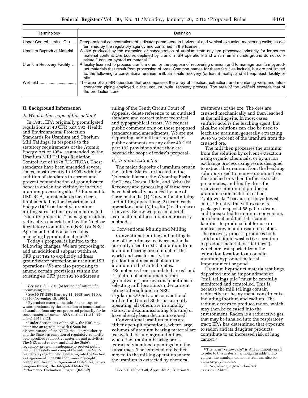| Terminoloav                | Definition                                                                                                                                                                                                                                                                                                                                                             |
|----------------------------|------------------------------------------------------------------------------------------------------------------------------------------------------------------------------------------------------------------------------------------------------------------------------------------------------------------------------------------------------------------------|
| Upper Control Limit (UCL)  | Preoperational concentrations of indicator parameters in horizontal and vertical excursion monitoring wells, as de-<br>termined by the regulatory agency and contained in the license.                                                                                                                                                                                 |
| Uranium Byproduct Material | Waste produced by the extraction or concentration of uranium from any ore processed primarily for its source<br>material content. Ore bodies depleted by uranium ISR operations and which remain underground do not con-<br>stitute "uranium byproduct material."                                                                                                      |
| Uranium Recovery Facility  | A facility licensed to process uranium ores for the purpose of recovering uranium and to manage uranium byprod-<br>uct materials that result from processing of ores. Common names for these facilities include, but are not limited<br>to, the following: a conventional uranium mill, an in-situ recovery (or leach) facility, and a heap leach facility or<br>pile. |
| Wellfield                  | The area of an ISR operation that encompasses the array of injection, extraction, and monitoring wells and inter-<br>connected piping employed in the uranium in-situ recovery process. The area of the wellfield exceeds that of<br>the production zone.                                                                                                              |

#### **II. Background Information**

#### *A. What is the scope of this action?*

In 1983, EPA originally promulgated regulations at 40 CFR part 192, Health and Environmental Protection Standards for Uranium and Thorium Mill Tailings, in response to the statutory requirements of the Atomic Energy Act of 1954, as amended by the Uranium Mill Tailings Radiation Control Act of 1978 (UMTRCA). These standards have been amended several times, most recently in 1995, with the addition of standards to correct and prevent contamination of groundwater beneath and in the vicinity of inactive uranium processing sites.1 2 Pursuant to UMTRCA, our standards have been implemented by the Department of Energy (DOE) at inactive uranium milling sites and nearby contaminated ''vicinity properties'' managing residual radioactive material and by the Nuclear Regulatory Commission (NRC) or NRC Agreement States at active sites managing byproduct material.3 4

Today's proposal is limited to the following changes. We are proposing to add an additional subpart within 40 CFR part 192 to explicitly address groundwater protection at uranium ISR operations. We are also proposing to amend certain provisions within the existing 40 CFR part 192 to address a

<sup>4</sup> Under Section 274 of the AEA, the NRC may enter into an agreement with a State for discontinuance of the NRC's regulatory authority and the State's assumption of regulatory authority over specified radioactive materials and activities. The NRC must review and find the State's regulatory program is adequate to protect public health and safety and compatible with the NRC's regulatory program before entering into the Section 274 agreement. The NRC continues oversight responsibilities of the Agreement State's regulatory program through the Integrated Materials

ruling of the Tenth Circuit Court of Appeals, delete reference to an outdated standard and correct minor technical and typographical errors. We request public comment only on these proposed standards and amendments. We are not requesting, and will not respond to, public comments on any other 40 CFR part 192 provisions since they are beyond the scope of today's proposal.

#### *B. Uranium Extraction*

The major deposits of uranium ores in the United States are located in the Colorado Plateau, the Wyoming Basin, the Texas Coastal Plain, and Nebraska. Recovery and processing of these ores have historically occurred by one of three methods: (1) Conventional mining and milling operations; (2) heap leach operations; and (3) in-situ (*i.e.,* in place) recovery. Below we present a brief explanation of these uranium recovery methods.

#### 1. Conventional Mining and Milling

Conventional mining and milling is one of the primary recovery methods currently used to extract uranium from uranium-bearing ore in much of the world and was formerly the predominant means of obtaining uranium in the United States. ''Remoteness from populated areas'' and ''isolation of contaminants from groundwater'' are key considerations in selecting mill locations under current siting criteria found in NRC regulations.5 Only one conventional mill in the United States is currently operating; all others are in standby status, in decommissioning (closure) or have already been decommissioned.

Conventional uranium mines are either open-pit operations, where large volumes of uranium bearing material are excavated, or underground mines, where the uranium-bearing ore is extracted via mined openings into the subsurface. The extracted ore is then moved to the milling operation where the uranium is extracted by chemical

treatments of the ore. The ores are crushed mechanically and then leached at the milling site. In most cases, sulfuric acid is the leaching agent, but alkaline solutions can also be used to leach the uranium, generally extracting 90 to 95 percent of the uranium from the crushed ore.

The mill then processes the uranium from the solution by solvent extraction using organic chemicals, or by an ion exchange process using resins designed to extract the uranium from the leaching solutions used to remove uranium from the crushed ore, then further extracts, precipitates, and finally dries the recovered uranium to produce a uranium oxide material, called ''yellowcake'' because of its yellowish color.6 Finally, the yellowcake is packaged in special 55-gallon drums and transported to uranium conversion, enrichment and fuel fabrication facilities to produce fuel for use in nuclear power and research reactors. The recovery process produces both solid and liquid wastes (*i.e.,* uranium byproduct material, or ''tailings''), which are transported from the extraction location to an on-site uranium byproduct material impoundment or pond.

Uranium byproduct materials/tailings deposited into an impoundment or ''mill tailings pile'' must be carefully monitored and controlled. This is because the mill tailings contain radioactive or heavy metal constituents, including thorium and radium. The radium decays to produce radon, which may then be released into the environment. Radon is a radioactive gas that may be inhaled into the respiratory tract; EPA has determined that exposure to radon and its daughter products contribute to an increased risk of lung cancer.7

<sup>&</sup>lt;sup>1</sup> See 42 U.S.C. 7911(6) for the definition of a "processing site."

 $^2$  See 60 FR 2854 (January 11, 1995) and 58 FR 60340 (November 15, 1993).

<sup>&</sup>lt;sup>3</sup> Byproduct material includes the tailings or wastes produced by the extraction or concentration of uranium from any ore processed primarily for its source material content. AEA section 11e.(2), 42<br>U.S.C. 2014(e)(2).

<sup>&</sup>lt;sup>5</sup> See 10 CFR part 40, Appendix A, Criterion 1.

 $^{\rm 6}$  The term ''yellowcake'' is still commonly used to refer to this material, although in addition to yellow, the uranium oxide material can also be black or grey in color.

<sup>7</sup>*[http://www.epa.gov/radon/risk](http://www.epa.gov/radon/risk_assessment.html)*\_ *[assessment.html.](http://www.epa.gov/radon/risk_assessment.html)*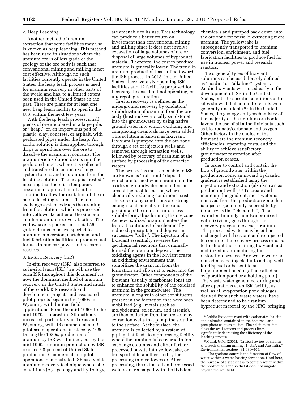## 2. Heap Leaching

Another method of uranium extraction that some facilities may use is known as heap leaching. This method has been used in situations where the uranium ore is of low grade or the geology of the ore body is such that conventional mining and milling is not cost effective. Although no such facilities currently operate in the United States, the heap leach process is used for uranium recovery in other parts of the world and has, to a limited extent, been used in the United States in the past. There are plans for at least one new heap leach facility to open in the U.S. within the next few years.

With the heap leach process, small pieces of ore are placed in a large pile, or ''heap,'' on an impervious pad of plastic, clay, concrete, or asphalt, with perforated pipes under the heap. An acidic solution is then applied through drips or sprinklers over the ore to dissolve the uranium it contains. The uranium-rich solution drains into the perforated pipes, where it is collected and transferred to an ion exchange system to recover the uranium from the leaching solution. The heap is "rested," meaning that there is a temporary cessation of application of acidic solution to allow for oxidation of the ore before leaching resumes. The ion exchange system extracts the uranium from the solution, which is processed into yellowcake either at the site or at another uranium recovery facility. The yellowcake is packed in special 55 gallon drums to be transported to uranium conversion, enrichment and fuel fabrication facilities to produce fuel for use in nuclear power and research reactors.

#### 3. In-Situ Recovery (ISR)

In-situ recovery (ISR), also referred to as in-situ leach (ISL) (we will use the term ISR throughout this document), is now the dominant method of uranium recovery in the United States and much of the world. ISR research and development projects and associated pilot projects began in the 1960s in Wyoming with limited field applications. From the mid-1960s to the mid-1970s, interest in ISR methods increased, particularly in Texas and Wyoming, with 18 commercial and 9 pilot-scale operations in place by 1980. During the 1980s, production of uranium by ISR was limited, but by the mid-1990s, uranium production by ISR reached 90 percent of United States production. Commercial and pilot operations demonstrated ISR as a viable uranium recovery technique where site conditions (*e.g.,* geology and hydrology)

are amenable to its use. This technology can produce a better return on investment than conventional mining and milling since it does not involve excavation of large volumes of ore or disposal of large volumes of byproduct material. Therefore, the cost to produce uranium is generally lower. The trend in uranium production has shifted toward the ISR process. In 2013, in the United States, there were six operating ISR facilities and 12 facilities proposed for licensing, licensed but not operating, or undergoing restoration.

In-situ recovery is defined as the underground recovery by oxidation/ solubilization of uranium from the ore body (host rock—typically sandstone) into the groundwater by using native groundwater into which oxidizing and complexing chemicals have been added. This solution is known as lixiviant. Lixiviant is pumped into the ore zone through a set of injection wells and removed through extraction wells, followed by recovery of uranium at the surface by processing of the extracted waters.

The ore bodies most amenable to ISR are known as ''roll front'' deposits, which are formed when uranium in the oxidized groundwater encounters an area of the host formation where chemically reducing conditions exist. These reducing conditions are strong enough to chemically reduce and precipitate the uranium into a less soluble form, thus forming the ore zone. As new oxidized uranium enters the front, it continues to be chemically reduced, precipitate and deposit in successive ''rolls''. The injection of a lixiviant essentially reverses the geochemical reactions that originally formed the uranium deposit. The oxidizing agents in the lixiviant create an oxidizing environment that solubilizes the uranium from the formation and allows it to enter into the groundwater. Other components of the lixiviant (usually bicarbonate ions) act to enhance the solubility of the oxidized uranium in the groundwater. The uranium, along with other constituents present in the formation that have been mobilized (*e.g.,* metals such as molybdenum, selenium, and arsenic), are then collected from the ore zone by extraction wells that pump the solution to the surface. At the surface, the uranium is collected by a system of piping that feeds to a processing facility, where the uranium is recovered in ion exchange columns and either further processed on-site into yellowcake, or transported to another facility for processing into yellowcake. After processing, the extracted and processed waters are recharged with the lixiviant

chemicals and pumped back down into the ore zone for reuse in extracting more uranium. The yellowcake is subsequently transported to uranium conversion, enrichment, and fuel fabrication facilities to produce fuel for use in nuclear power and research reactors.

Two general types of lixiviant solutions can be used, loosely defined as ''acidic'' or ''alkaline'' systems. Acidic lixiviants were used early in the development of ISR in the United States, but site-specific conditions at the sites showed that acidic lixiviants were generally unsuitable.8 9 In the United States, the geology and geochemistry of the majority of the uranium ore bodies favors the use of alkaline lixiviants such as bicarbonate/carbonate and oxygen. Other factors in the choice of the lixiviant are the uranium recovery efficiencies, operating costs, and the ability to achieve satisfactory groundwater restoration after production ceases.

In order to control and contain the flow of groundwater within the production zone, an inward hydraulic gradient is established using the injection and extraction (also known as production) wells.10 To create and maintain this gradient, more water is removed from the production zone than is injected (commonly referred to by industry as the ''bleed rate''). The extracted liquid (groundwater mixed with lixiviant) goes through the recovery process to extract uranium. The processed water may be either recharged with lixiviant and re-injected to continue the recovery process or used to flush out the remaining lixiviant and mobilized uranium during the restoration process. Any waste water not reused may be injected into a deep well for disposal or be sent to an impoundment on site (often called an evaporation pond or a holding pond). The waste water generated during and after operations at an ISR facility, as well as all evaporation pond sludges derived from such waste waters, have been determined to be uranium byproduct material by the NRC, bringing

<sup>8</sup>Acidic lixiviants react with carbonates (calcite and dolomite) contained in the host rock and precipitate calcium sulfate. The calcium sulfate clogs the well screens and process lines, significantly decreasing the efficiency of the leaching process.

<sup>9</sup>Mudd, G.M. (2001). ''Critical review of acid in situ leach uranium mining: 1. USA and Australia,'' Environmental Geology, 41:390–403.

<sup>10</sup>The gradient controls the direction of flow of water within a water-bearing formation. Used here, the purpose of a gradient is to contain water within the production zone so that it does not migrate beyond the wellfield.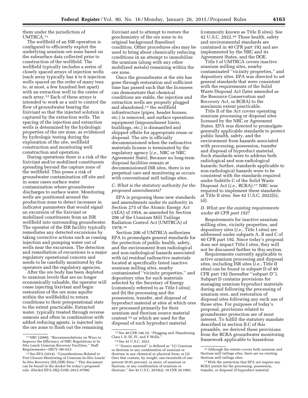them under the jurisdiction of UMTRCA.11

The wellfield of an ISR operation is configured to efficiently exploit the underlying uranium ore zone based on the subsurface data collected prior to construction of the wellfield. The wellfield typically includes a series of closely spaced arrays of injection wells (each array typically has 4 to 6 injection wells spaced on the order of many tens to, at most, a few hundred feet apart) with an extraction well in the center of each array.12 Each of these arrays is intended to work as a unit to control the flow of groundwater bearing the lixiviant so that the injected solution is captured by the extraction wells. The spacing of the injection and extraction wells is determined by the hydrologic properties of the ore zone, as evidenced by hydrologic testing during the exploration of the site, wellfield construction and monitoring well construction and operation.

During operations there is a risk of the lixiviant and/or mobilized constituents spreading beyond the capture zone of the wellfield. This poses a risk of groundwater contamination off site and in some cases surface water contamination where groundwater discharges to surface water. Monitoring wells are positioned around the production zone to detect increases in indicator parameters that would signal an excursion of the lixiviant or mobilized constituents from an ISR wellfield into surrounding groundwater. The operator of the ISR facility typically remediates any detected excursions by taking corrective actions such as ceasing injection and pumping water out of wells near the excursion. The detection and remediation of excursions is a major regulatory operational concern and needs to be carefully monitored by the operators and the regulatory agencies.

After the ore body has been depleted to uranium levels that are no longer economically valuable, the operator will cease injecting lixiviant and begin restoration of the ore zone aquifer within the wellfield(s) to return conditions to their preoperational state to the extent practicable. Extracted water, typically treated through reverse osmosis and often in combination with added reducing agents, is injected into the ore zone to flush out the remaining

lixiviant and to attempt to restore the geochemistry of the ore zone to its original background (baseline) condition. Other procedures also may be used to bring about chemically reducing conditions in an attempt to immobilize the uranium (along with any other mobilized metals) remaining within the ore zone.

Once the groundwater at the site has gone through restoration and sufficient time has passed such that the licensees can demonstrate that chemical conditions are stable, the injection and extraction wells are properly plugged and abandoned,<sup>13</sup> the wellfield infrastructure (pipes, header houses, etc.) is removed, and surface operations equipment (impoundment liners, buildings, etc.) is dismantled and shipped offsite for appropriate reuse or disposal. The site is officially decommissioned when the radioactive materials license is terminated by the regulatory agency (*i.e.,* NRC or NRC Agreement State). Because no long-term disposal facilities remain at decommissioned ISR sites, there is no perpetual care and monitoring as occurs with conventional mill tailings sites.

#### *C. What is the statutory authority for the proposed amendments?*

EPA is proposing these new standards and amendments under its authority in Section 275 of the Atomic Energy Act (AEA) of 1954, as amended by Section 206 of the Uranium Mill Tailings Radiation Control Act (UMTRCA) of 1978.14

Section 206 of UMTRCA authorizes EPA to promulgate general standards for the protection of public health, safety, and the environment from radiological and non-radiological hazards associated with (a) residual radioactive materials located at specifically listed inactive uranium milling sites, nearby contaminated ''vicinity properties,'' and depository sites for such materials selected by the Secretary of Energy (commonly referred to as Title I sites); and (b) the processing and the possession, transfer, and disposal of byproduct material at sites at which ores are processed primarily for their uranium and thorium source material content 15 or which are used for the disposal of such byproduct material

(commonly known as Title II sites). See 42 U.S.C. 2022.16 These health, safety and environmental standards are contained in 40 CFR part 192 and are implemented by the NRC and its Agreement States, and the DOE.

Title I of UMTRCA covers inactive uranium milling sites, nearby contaminated ''vicinity properties,'' and depository sites. EPA was directed to set general standards that were consistent with the requirements of the Solid Waste Disposal Act (later amended as the Resource Conservation and Recovery Act, or RCRA) to the maximum extent practicable.

Title II of the Act covers operating uranium processing or disposal sites licensed by the NRC or Agreement States. EPA was directed to promulgate generally applicable standards to protect public health, safety, and the environment from hazards associated with processing, possession, transfer and disposal of byproduct material. Such standards were to address both radiological and non-radiological hazards; further, standards applicable to non-radiological hazards were to be consistent with the standards required under Subtitle C of the Solid Waste Disposal Act (*i.e.,* RCRA).17 NRC was required to implement these standards at Title II sites. See 42 U.S.C. 2022(b), (d).

#### *D. What are the existing requirements under 40 CFR part 192?*

Requirements for inactive uranium milling sites, vicinity properties, and depository sites (*i.e.,* Title I sites) are addressed under subparts A, B and C of 40 CFR part 192. Since today's proposal does not impact Title I sites, they will not be discussed further in this section.

Requirements currently applicable to active uranium processing and disposal sites, including ISR sites (*i.e.,* Title II sites) can be found in subpart D of 40 CFR part 192 (hereafter ''subpart D''). Subpart D contains provisions for managing uranium byproduct materials during and following the processing of uranium ores, and restoration of disposal sites following any such use of those sites. For purposes of today's proposal, provisions related to groundwater protection are of most interest. To fulfill the statutory mandate described in section II.C of this preamble, we derived these provisions from the RCRA groundwater monitoring framework applicable to hazardous

<sup>11</sup>NRC (2000). ''Recommendations on Ways to Improve the Efficiency of NRC Regulations at In Situ Leach Uranium Recovery Facilities.'' Staff Requirements—SECY–99–013.

<sup>12</sup>See EPA (2014). ''Considerations Related to Post Closure Monitoring of Uranium In-Situ Leach/ In-Situ Recovery (ISL/ISR) Sites.'' This document can be found in the docket for today's proposed rule. (Docket EPA–HQ–OAR–2012–0788).

 $^{\rm 13}$  See 40 CFR 146.10, ''Plugging and Abandoning Class I, II, III, IV, and V Wells.

<sup>14</sup>See 42 U.S.C. 2022.

<sup>15</sup> ''Source material'' is defined as ''(1) Uranium or thorium or any combination of uranium or thorium in any chemical or physical form; or (2) Ores that contain, by weight, one-twentieth of one percent (0.05 percent), or more, of uranium or thorium, or any combination of uranium or thorium.'' See 42 U.S.C. 2014(z), 10 CFR 20.1003.

<sup>16</sup>Although the statute covers both uranium and thorium mill tailings sites, there are no existing thorium mill tailings sites.

<sup>&</sup>lt;sup>17</sup> With the restriction that EPA not require any RCRA permit for the processing, possession, transfer, or disposal of byproduct material.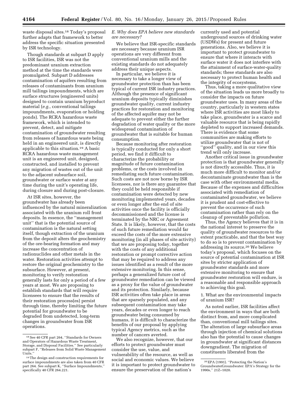waste disposal sites.18 Today's proposal further adapts that framework to better address the specific situation presented by ISR technology.

Though standards at subpart D apply to ISR facilities, ISR was not the predominant uranium extraction method at the time the standards were promulgated. Subpart D addresses contamination of aquifers resulting from releases of contaminants from uranium mill tailings impoundments, which are surface structures (engineered units) designed to contain uranium byproduct material (*e.g.,* conventional tailings impoundments, evaporation or holding ponds). The RCRA hazardous waste framework, which is intended to prevent, detect, and mitigate contamination of groundwater resulting from releases of hazardous waste being held in an engineered unit, is directly applicable to this situation.19 A basic RCRA hazardous waste management unit is an engineered unit, designed, constructed, and installed to prevent any migration of wastes out of the unit to the adjacent subsurface soil, groundwater or surface water at any time during the unit's operating life, during closure and during post-closure.

At ISR sites, however, the groundwater has already been influenced by the natural mineralization associated with the uranium roll front deposits. In essence, the ''management unit'' that is the potential source of contamination is the natural setting itself, though extraction of the uranium from the deposit alters the geochemistry of the ore-bearing formation and may increase the concentration of radionuclides and other metals in the water. Restoration activities attempt to restore the original geochemistry to the subsurface. However, at present, monitoring to verify restoration generally lasts for only a period of a few years at most. We are proposing to establish standards that will require licensees to ensure that the results of their restoration process(es) persist through time, thereby limiting the future potential for groundwater to be degraded from undetected, long-term changes in groundwater from ISR operations.

#### *E. Why does EPA believe new standards are necessary?*

We believe that ISR-specific standards are necessary because uranium ISR operations are very different from conventional uranium mills and the existing standards do not adequately address their unique aspects.

In particular, we believe it is necessary to take a longer view of groundwater protection than has been typical of current ISR industry practices. Although the presence of significant uranium deposits typically diminishes groundwater quality, current industry practices for restoration and monitoring of the affected aquifer may not be adequate to prevent either the further degradation of water quality or the more widespread contamination of groundwater that is suitable for human consumption.

Because monitoring after restoration is typically conducted for only a short period, we find it difficult to characterize the probability or magnitude of future contamination problems, or the costs involved in remediating such future contamination. Such costs are not now borne by ISR licensees, nor is there any guarantee that they could be held responsible if contamination were detected by new monitoring implemented years, decades or even longer after the end of site activities once the facility is officially decommissioned and the license is terminated by the NRC or Agreement State. It is likely, however, that the costs of such future remediation would far exceed the costs of the more extensive monitoring (in all phases of site activity) that we are proposing today, together with the costs of any additional restoration or prompt corrective action that may be required to address any issues identified as a result of the more extensive monitoring. In this sense, perhaps a generalized future cost of groundwater remediation can be viewed as a proxy for the value of groundwater and its protection. Similarly, because ISR activities often take place in areas that are sparsely populated, and any subsequent contamination may take years, decades or even longer to reach groundwater being consumed by humans, it is difficult to characterize the benefits of our proposal by applying typical Agency metrics, such as the number of cancers averted.

We also recognize, however, that our efforts to protect groundwater must consider the use, value, and vulnerability of the resource, as well as social and economic values. We believe it is important to protect groundwater to ensure the preservation of the nation's

currently used and potential underground sources of drinking water (USDWs) for present and future generations. Also, we believe it is important to protect groundwater to ensure that where it interacts with surface water it does not interfere with the attainment of surface-water-quality standards; these standards are also necessary to protect human health and the integrity of ecosystems.

Thus, taking a more qualitative view of the situation leads us more broadly to consider the impacts on future groundwater uses. In many areas of the country, particularly in western states where ISR activities are most likely to take place, groundwater is a scarce and valuable resource that is being rapidly depleted to support increased demands. There is evidence that some communities are making efforts to utilize groundwater that is not of ''good'' quality, and in our view this trend will only increase.

Another critical issue in groundwater protection is that groundwater generally is not directly accessible. Thus, it is much more difficult to monitor and/or decontaminate groundwater than is the case with other environmental media. Because of the expenses and difficulties associated with remediation of contaminated groundwater, we believe it is prudent and cost-effective to prevent the occurrence of such contamination rather than rely on the cleanup of preventable pollution.

Thus, the Agency believes that it is in the national interest to preserve the quality of groundwater resources to the extent practicable, and that the best way to do so is to prevent contamination by addressing its source.20 We believe today's proposal, which focuses on the source of potential contamination at ISR sites by stricter application of groundwater standards and more extensive monitoring to ensure that groundwater restoration will endure, is a reasonable and responsible approach to achieving this goal.

1. What are the environmental impacts of uranium ISR?

As noted earlier, ISR facilities affect the environment in ways that are both distinct from, and more complicated than, conventional mill tailings sites. The alteration of large subsurface areas through injection of chemical solutions also has the potential to cause changes in groundwater at significant distances downgradient. The migration of constituents liberated from the

<sup>18</sup>See 40 CFR part 264, ''Standards for Owners and Operators of Hazardous Waste Treatment, Storage, and Disposal Facilities.'' See particularly subpart F, ''Releases from Solid Waste Management Units.''

<sup>19</sup>The design and construction requirements for surface impoundments are also taken from 40 CFR part 264. See subpart K, ''Surface Impoundments,'' specifically 40 CFR 264.221.

<sup>20</sup>EPA (1991). ''Protecting the Nation's GroundwaterGroundwater: EPA's Strategy for the 1990s,'' 21Z–1020.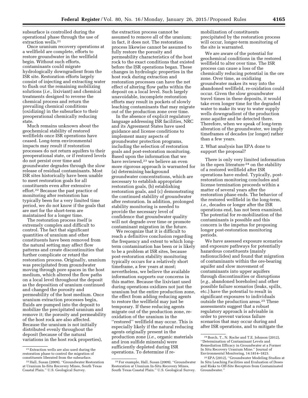subsurface is controlled during the operational phase through the use of extraction wells.21

Once uranium recovery operations at a wellfield are complete, efforts to restore groundwater in the wellfield begin. Without such efforts, contaminants could migrate hydrologically downgradient from the ISR site. Restoration efforts largely consist of injecting and extracting water to flush out the remaining mobilizing solutions (*i.e.,* lixiviant) and chemical treatments designed to reverse the chemical process and return the prevailing chemical conditions (oxidizing) in the subsurface to their preoperational chemically reducing state.

Much remains unknown about the geochemical stability of restored wellfields once ISR operations have ceased. Long-term environmental impacts may result if restoration processes do not return aquifers to their preoperational state, or if restored levels do not persist over time and groundwater degrades through the slow release of residual contaminants. Most ISR sites historically have been unable to meet restoration goals for all constituents even after extensive effort.22 Because the past practice of monitoring after restoration has typically been for a very limited time period, we do not know if the goals that are met for the short-term are maintained for a longer time.

The restoration process itself is extremely complex and difficult to control. The fact that significant quantities of uranium and other constituents have been removed from the natural setting may affect flow patterns and create discontinuities that further complicate or retard the restoration process. Originally, uranium was precipitated from groundwater moving through pore spaces in the host medium, which altered the flow paths on a local level throughout the deposit as the deposition of uranium continued and changed the porosity and permeability of the host medium. Once uranium extraction processes begin, fluids are pumped into the deposit to mobilize the precipitated uranium and remove it; the porosity and permeability of the host rock are also affected. Because the uranium is not initially distributed evenly throughout the deposit (because of the natural variations in the host rock properties),

the extraction process cannot be assumed to remove all of the uranium; in fact, it does not. The restoration process likewise cannot be assumed to fully restore the porosity and permeability characteristics of the host rock to the exact conditions that existed before the ISR operations began. These changes in hydrologic properties in the host rock during extraction and restoration processes can have the net effect of altering flow paths within the deposit on a local level. Such largely unavoidable, incomplete restoration efforts may result in pockets of slowly leaching contaminants that may migrate out of the production zone over time.

In the absence of explicit regulatory language addressing ISR facilities, NRC and its Agreement States have used guidance and license conditions to implement many aspects of groundwater protection programs, including the selection of restoration goals and post-restoration monitoring. Based upon the information that we have reviewed,<sup>23</sup> we believe an even more rigorous approach is warranted for (a) determining background groundwater concentrations, which are necessary to establish appropriate restoration goals, (b) establishing restoration goals, and (c) demonstrating the continued stability of groundwater after restoration. In addition, prolonged stability monitoring is needed to provide the necessary level of confidence that groundwater quality will not degrade over time or promote contaminant migration in the future.

We recognize that it is difficult to reach a definitive conclusion regarding the frequency and extent to which longterm contamination has been or is likely to be a problem at ISR sites, because post-restoration stability monitoring typically occurs for a relatively short timeframe, a few years at most; nevertheless, we believe the available information supports our concerns in this matter. Because the lixiviant used during operations oxidizes not just the uranium but the entire production zone, the effect from adding reducing agents to restore the wellfield may just be temporary. If these reducing agents migrate out of the production zone, reoxidation of the uranium in the ''restored'' wellfield may occur. This is especially likely if the natural reducing agents originally present in the production zone (*i.e.,* organic materials and iron sulfide minerals) were sufficiently depleted during ISR operations. To determine if remobilization of constituents precipitated by the restoration process will occur, longer-term monitoring of the site is warranted.

We are aware of the potential for geochemical conditions in the restored wellfield to alter over time. The ISR process can cause a loss of the chemically reducing potential in the ore zone. Over time, as oxidizing groundwater makes its way into the abandoned wellfield, re-oxidation could occur. Given the slow groundwater travel times in these deposits, it would take even longer time for the degraded water to make its way to water supply wells downgradient of the production zone aquifer and be detected there. Therefore, when we speak of long-term alteration of the groundwater, we imply timeframes of decades (or longer) rather than a few years.

2. What analysis has EPA done to support the proposal?

There is only very limited information in the open literature 24 on the stability of a restored wellfield after ISR operations have ended. Typically, postrestoration monitoring concludes and license termination proceeds within a matter of several years after the restoration phase ends. The behavior of the restored wellfield in the long-term, *i.e.,* decades or longer after the ISR operations end, has not been examined. The potential for re-mobilization of the contaminants is possible and this concern is the impetus for proposing longer post-restoration monitoring periods.

We have assessed exposure scenarios and exposure pathways for potentially hazardous constituents (mainly radionuclides) and found that migration of contaminants within the ore-bearing aquifer and slow movement of contaminants into upper aquifers through discontinuities or disruptions (*e.g.,* abandoned boreholes) and other possible failure scenarios (leaks, spills, etc.) have the potential to result in significant exposures to individuals outside the production areas.25 These assessments suggest that a robust regulatory approach is advisable in order to prevent various failure scenarios that may occur during and after ISR operations, and to mitigate the

<sup>21</sup>Extraction wells are also used during the restoration phase to control the migration of constituents liberated from the subsurface.

<sup>22</sup>Hall, Susan (2009). ''Groundwater Restoration at Uranium In-Situ Recovery Mines, South Texas Coastal Plain.'' U.S. Geological Survey.

<sup>23</sup>For example, Hall, Susan (2009). ''Groundwater Restoration at Uranium In-Situ Recovery Mines, South Texas Coastal Plain.'' U.S. Geological Survey.

<sup>24</sup>Borch, T., N. Roche and T.E. Johnson (2012), ''Determination of Contaminant Levels and Remediation Efficacy in Groundwater at a Former In Situ Recovery Uranium Mine.'' Journal of Environmental Monitoring, 14:1814–1823.

<sup>25</sup>EPA (2012), ''Groundwater Modeling Studies at In Situ Leaching Facilities and Evaluation of Doses and Risks to Off-Site Receptors from Contaminated Groundwater.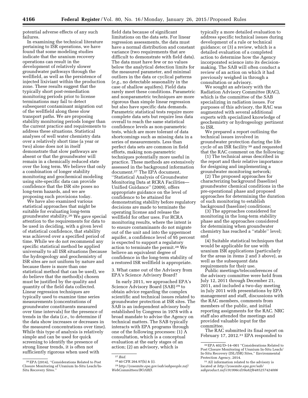potential adverse effects of any such failures.

In examining the technical literature pertaining to ISR operations, we have found that some modeling studies indicate that the uranium recovery operations can result in the development of relatively slower groundwater pathways through the wellfield, as well as the persistence of injected lixiviant within the production zone. These results suggest that the typically short post-remediation monitoring periods prior to license terminations may fail to detect subsequent contaminant migration out of the wellfield along these slow transport paths. We are proposing stability monitoring periods longer than the current practice and requirements to address these situations. Statistical analyses of well water chemistry data over a relatively short time (a year or two) alone does not in itself demonstrate that slow pathways are absent or that the groundwater will remain in a chemically reduced state over the long term. We believe that only a combination of longer stability monitoring and geochemical modeling using site-specific data can provide confidence that the ISR site poses no long-term hazards, and we are proposing such provisions today.

We have also examined various statistical approaches that might be suitable for evaluating long-term groundwater stability.26 We gave special attention to the requirements for data to be used in deciding, with a given level of statistical confidence, that stability was achieved over a specified period of time. While we do not recommend any specific statistical method be applied universally to all ISR situations (because the hydrogeology and geochemistry of ISR sites are not uniform by nature and because there is more than one statistical method that can be used), we do believe that the method(s) chosen must be justified by the quality and quantity of the field data collected. Linear regression techniques are typically used to examine time series measurements (concentrations of groundwater constituents measured over time intervals) for the presence of trends in the data (*i.e.,* to determine if the data show increases or decreases in the measured concentrations over time). While this type of analysis is relatively simple and can be used for quick screening to identify the presence of strong linear trends, it is often not sufficiently rigorous when used with

field data because of significant limitations on the data sets. For linear regression assessments, the data must have a normal distribution and constant variance (two requirements that are difficult to demonstrate with field data). The data must have few or no values below the analytical detection limits for the measured parameter, and minimal outliers in the data or cyclical patterns (*e.g.,* no detectable seasonality in the case of shallow aquifers). Field data rarely meet these conditions. Parametric and nonparametric techniques are more rigorous than simple linear regression but also have specific data demands. Parametric statistical tests require more complete data sets but require less data overall to reach the same statistical confidence levels as non-parametric tests, which are more tolerant of data shortcomings such as missing data in a series of measurements. Less than perfect data sets are common in field efforts, making non-parametric techniques potentially more useful in practice. These methods are extensively assessed in the background information document.27 The EPA document, ''Statistical Analysis of Groundwater Monitoring Data at RCRA Facilities— Unified Guidance'' (2009), offers appropriate guidance on the level of confidence to be attained for demonstrating stability before regulatory decisions are made to terminate the operating license and release the wellfield for other uses. For RCRA monitoring results, where the intent is to ensure contaminants do not migrate out of the unit and into the uppermost aquifer, a confidence level of 95 percent is expected to support a regulatory action to terminate the permit.28 We believe an equivalent degree of confidence in the long-term stability of a restored ISR wellfield is appropriate.

3. What came out of the Advisory from EPA's Science Advisory Board?

In early 2011, we approached EPA's Science Advisory Board (SAB) 29 to obtain advice regarding the complex scientific and technical issues related to groundwater protection at ISR sites. The SAB is an independent advisory body established by Congress in 1978 with a broad mandate to advise the Agency on technical matters. The SAB typically interacts with EPA programs through one of the following processes: (1) A consultation, which is a conceptual evaluation at the early stages of an action; (2) an advisory, which is

typically a more detailed evaluation to address specific technical issues during development of a rule or technical guidance; or (3) a review, which is a detailed evaluation of a completed action to determine how the Agency incorporated science into its decisionmaking. The SAB will often conduct a review of an action on which it had previously weighed in through a consultation or advisory.

We sought an advisory with the Radiation Advisory Committee (RAC), which is the committee of the SAB specializing in radiation issues. For purposes of this advisory, the RAC was augmented with several additional experts with specialized knowledge of geochemistry or hydrogeology pertinent to ISR.

We prepared a report outlining the technical issues involved in groundwater protection during the life cycle of an ISR facility 30 and requested that the RAC comment on the following:

(1) The technical areas described in the report and their relative importance for designing and implementing a groundwater monitoring network;

(2) The proposed approaches for characterizing background (baseline) groundwater chemical conditions in the pre-operational phase and proposed approaches for determining the duration of such monitoring to establish background (baseline) conditions;

(3) The approaches considered for monitoring in the long-term stability phase and the approaches considered for determining when groundwater chemistry has reached a ''stable'' level; and

(4) Suitable statistical techniques that would be applicable for use with uranium ISR applications (particularly for the areas in items 2 and 3 above), as well as the subsequent data requirements for their use.

Public meetings/teleconferences of the advisory committee were held from July 12, 2011 through December 21, 2011, and included a two-day meeting in July 2011 with presentations by EPA management and staff, discussions with the RAC members, comments from members of the public, and initial reporting assignments for the RAC. NRC staff also attended the meetings and provided valuable input for the committee.

The RAC submitted its final report on February 17, 2012.31 EPA responded to

<sup>26</sup>EPA (2014), ''Considerations Related to Post Closure Monitoring of Uranium In-Situ Leach/In-Situ Recovery Sites.''

<sup>27</sup> *Ibid.* 

<sup>28</sup> 40 CFR 264.97(h) & (i).

<sup>29</sup>*[http://yosemite.epa.gov/sab/sabpeople.nsf/](http://yosemite.epa.gov/sab/sabpeople.nsf/WebCommittees/BOARD) [WebCommittees/BOARD.](http://yosemite.epa.gov/sab/sabpeople.nsf/WebCommittees/BOARD)* 

<sup>30</sup>EPA 402/D–14–001 ''Considerations Related to Post Closure Monitoring of Uranium In-Situ Leach/ In-Situ Recovery (ISL/ISR) Sites,'' Environmental Protection Agency, 2014.

<sup>31</sup>All information related to the advisory is located at *[http://yosemite.epa.gov/sab/](http://yosemite.epa.gov/sab/sabproduct.nsf/c91996cd39a82f648525742400690127/0314cef928df63cc8525775200482fa3!OpenDocument)  [sabproduct.nsf/c91996cd39a82f6485257424006](http://yosemite.epa.gov/sab/sabproduct.nsf/c91996cd39a82f648525742400690127/0314cef928df63cc8525775200482fa3!OpenDocument)*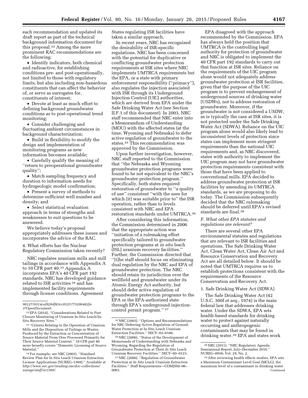each recommendation and updated its draft report as part of the technical background information document for this proposal.32 Among the more prominent RAC recommendations are the following:

• Identify indicators, both chemical and radioactive, for establishing conditions pre- and post-operationally, not limited to those with regulatory limits, but also including non-hazardous constituents that can affect the behavior of, or serve as surrogates for, constituents of interest;

• Devote at least as much effort to defining background groundwater conditions as to post-operational trend monitoring;

• Consider challenging and fluctuating ambient circumstances in background characterization;

• Build in flexibility to modify the design and implementation of monitoring programs as new information becomes available;

• Carefully qualify the meaning of ''return to preoperational groundwater quality'';

• Match sampling frequency and duration to information needs for hydrogeologic model confirmation;

• Present a survey of methods to determine sufficient well number and density; and

• Select statistical evaluation approach in terms of strengths and weaknesses to suit questions to be answered.

We believe today's proposal appropriately addresses these issues and incorporates the advice of the RAC.

4. What efforts has the Nuclear Regulatory Commission taken recently?

NRC regulates uranium mills and mill tailings in accordance with Appendix A to 10 CFR part 40.33 Appendix A incorporates EPA's 40 CFR part 192 standards. NRC has developed guidance related to ISR activities 34 and has implemented facility requirements through license conditions. Agreement

States regulating ISR facilities have taken a similar approach.

In recent years, NRC has recognized the desirability of ISR-specific regulations. NRC has been concerned with the potential for duplicative or conflicting groundwater protection requirements at ISR sites where NRC implements UMTRCA requirements but the EPA, or a state with primary enforcement responsibility (''primacy''), also regulates the injection associated with ISR through its Underground Injection Control (UIC) authorities, which are derived from EPA under the Safe Drinking Water Act (see Section II.F.1 of this document). In 2003, NRC staff recommended that NRC enter into a Memorandum of Understanding (MOU) with the affected states (at the time, Wyoming and Nebraska) to defer active regulation of groundwater to the states.35 This recommendation was approved by the Commission.

Upon further investigation, however, NRC staff reported to the Commission that ''the Nebraska and Wyoming groundwater protection programs were found to be not equivalent to the NRC's groundwater protection program.'' Specifically, both states required restoration of groundwater to ''a quality of use'' consistent ''with the uses for which [it] was suitable prior to'' the ISR operation, rather than to levels consistent with NRC and EPA restoration standards under UMTRCA.36

After considering this information, the Commission determined in 2006 that the appropriate action was ''initiation of a rulemaking effort specifically tailored to groundwater protection programs at *in situ* leach (ISL) uranium recovery facilities.'' Further, the Commission directed that ''[t]he staff should focus on eliminating dual regulation by the NRC and EPA of groundwater protection. The NRC should retain its jurisdiction over the wellfield and groundwater under its Atomic Energy Act authority, but should defer active regulation of groundwater protection programs to the EPA or the EPA-authorized state through EPA's underground injectioncontrol permit program.'' 37

EPA disagreed with the approach recommended by the Commission. EPA has always held the position that UMTRCA is the controlling legal authority for protection of groundwater and NRC is obligated to implement the 40 CFR part 192 standards to carry out that function at ISR sites. Reliance on the requirements of the UIC program alone would not adequately address groundwater protection at ISR facilities, given that the purpose of the UIC program is to prevent endangerment of underground sources of drinking water (USDWs), not to address restoration of groundwater. Moreover, if the groundwater is not considered a USDW, as is typically the case at ISR sites, it is not protected under the Safe Drinking Water Act (SDWA). Reliance on the UIC program alone would also likely lead to inconsistent levels of protection since states can implement more stringent requirements than the national UIC requirements and, as NRC discovered, states with authority to implement the UIC program may not have groundwater protection requirements consistent with those that have been applied to conventional mills. EPA decided to address groundwater protection at ISR facilities by amending its UMTRCA standards, as we are proposing to do today. The Commission subsequently decided that the NRC rulemaking should be deferred until EPA's revised standards are final.38

#### *F. What other EPA statutes and regulations are relevant?*

There are several other EPA environmental statutes and regulations that are relevant to ISR facilities and operations. The Safe Drinking Water Act, Clean Water Act, Clean Air Act and Resource Conservation and Recovery Act are all detailed below. It should be noted that UMTRCA requires us to establish protections consistent with the requirements of the Resource Conservation and Recovery Act.

#### 1. Safe Drinking Water Act (SDWA)

The Safe Drinking Water Act (42 U.S.C. 300f *et seq.,* 1974) is the main federal law that addresses drinking water. Under the SDWA, EPA sets health-based standards for drinking water to protect against naturally occurring and anthropogenic contaminants that may be found in drinking water.39 EPA and states work

*[<sup>90127/0314</sup>cef928df63cc8525775200482fa](http://yosemite.epa.gov/sab/sabproduct.nsf/c91996cd39a82f648525742400690127/0314cef928df63cc8525775200482fa3!OpenDocument) [3!OpenDocument.](http://yosemite.epa.gov/sab/sabproduct.nsf/c91996cd39a82f648525742400690127/0314cef928df63cc8525775200482fa3!OpenDocument)* 

<sup>32</sup>EPA (2014), ''Considerations Related to Post Closure Monitoring of Uranium In-Situ Leach/In-Situ Recovery Sites.''

<sup>&</sup>lt;sup>33</sup> "Criteria Relating to the Operation of Uranium Mills and the Disposition of Tailings or Wastes Produced by the Extraction or Concentration of Source Material From Ores Processed Primarily for Their Source Material Content.'' 10 CFR part 40 more broadly covers ''Domestic Licensing of Source Material.''

<sup>34</sup>For example, see NRC (2003). ''Standard Review Plan for In Situ Leach Uranium Extraction License Applications (NUREG–1569).'' Available at *[http://www.nrc.gov/reading-rm/doc-collections/](http://www.nrc.gov/reading-rm/doc-collections/nuregs/staff/sr1569/) [nuregs/staff/sr1569/.](http://www.nrc.gov/reading-rm/doc-collections/nuregs/staff/sr1569/)* 

<sup>35</sup>NRC (2003). ''Options and Recommendations for NRC Deferring Active Regulation of Ground-Water Protection at In Situ Leach Uranium Extraction Facilities.'' SECY–03–0186.

<sup>36</sup>NRC (2006). ''Status of the Development of Memoranda of Understanding with Nebraska and Wyoming, Regarding the Regulation of Groundwater Protection at Their *In Situ* Leach Uranium Recovery Facilities.'' SECY–05–0123.

<sup>37</sup>NRC (2006). ''Regulation of Groundwater Protection at *In Situ* Leach Uranium Extraction Facilities.'' Staff Requirements—COMJSM–06– 0001.

<sup>38</sup>NRC (2011). ''NRC Regulatory Agenda: Semiannual Report, July–December 2010.'' NUREG–0936; Vol. 29, No. 2.

<sup>39</sup>After reviewing health effects studies, EPA sets a Maximum Contaminant Level Goal (MCLG), the maximum level of a contaminant in drinking water Continued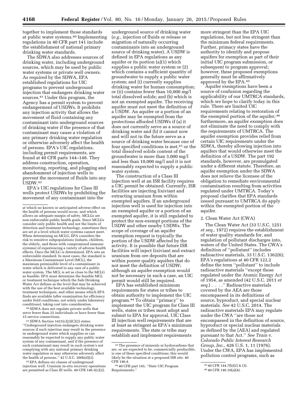together to implement those standards at public water systems.40 Implementing regulations in 40 CFR part 141 include the establishment of national primary drinking water standards.

The SDWA also addresses sources of drinking water, including underground sources, which may be used by public water systems or private well owners. As required by the SDWA, EPA established regulations for UIC programs to prevent underground injection that endangers drinking water sources.41 Under this program, the Agency has a permit system to prevent endangerment of USDWs. It prohibits any injection activity that allows the movement of fluid containing any contaminant into underground sources of drinking water if the presence of that contaminant may cause a violation of any primary drinking water regulation or otherwise adversely affect the health of persons. EPA's UIC regulations, including permit requirements, are found at 40 CFR parts 144–148. They address construction, operation, monitoring, reporting, and plugging and abandonment of injection wells to prevent the movement of fluids into any USDW.42

EPA's UIC regulations for Class III wells protect USDWs by prohibiting the movement of any contaminant into the

40SDWA does not regulate private wells that serve fewer than 25 individuals or have fewer than 15 service connections.

 $41$  SDWA Section  $1421(c)(2)(C)(2)$  states: ''Underground injection endangers drinking water sources if such injection may result in the presence in underground water which supplies or can reasonably be expected to supply any public water system of any contaminant, and if the presence of such contaminant may result in such system's not complying with any national primary drinking water regulation or may otherwise adversely affect the health of persons.'' 42 U.S.C. 300h(d)(2).

42EPA defines six classes of underground injection well. Uranium in-situ recovery operations are permitted as Class III wells. 40 CFR 146.5(c)(2).

underground source of drinking water (*e.g.,* injection of fluids or release or migration of naturally occurring contaminants into an underground source of drinking water). A USDW is defined in EPA regulations as any aquifer or its portion (a)(1) which supplies a public water system or (2) which contains a sufficient quantity of groundwater to supply a public water system; and (i) currently supplies drinking water for human consumption; or (ii) contains fewer than 10,000 mg/l total dissolved solids; and (b) which is not an exempted aquifer. The receiving aquifer must not meet the definition of a USDW. An aquifer or a portion of an aquifer may be exempted from the protections afforded USDWs if (a) it does not currently serve as a source of drinking water and (b) it cannot now and will not in the future serve as a source of drinking water because one of four specified conditions is met,43 or the total dissolved solids content of the groundwater is more than 3,000 mg/l and less than 10,000 mg/l and it is not reasonably expected to supply a public water system.

The construction of a Class III injection well at an ISR facility requires a UIC permit be obtained. Currently, ISR facilities are injecting lixiviant and extracting uranium from within exempted aquifers. If an underground injection well is used for injection into an exempted aquifer or a portion of an exempted aquifer, it is still regulated to protect the non-exempt portions of the USDW and other nearby USDWs. The scope of coverage of an aquifer exemption request is typically the portion of the USDW affected by the activity. It is possible that future ISR facilities will inject lixiviant and extract uranium from ore deposits that are within poorer quality aquifers that do not meet the definition of USDW; although an aquifer exemption would not be necessary in such a case, an UIC permit would still be required.

EPA has established minimum requirements for states or tribes to obtain authority to implement the UIC program.44 To obtain ''primacy'' to implement the UIC program for Class III wells, states or tribes must adopt and submit to EPA for approval, UIC Class III injection well requirements that are at least as stringent as EPA's minimum requirements. The state or tribe may establish and implement requirements

more stringent than the EPA UIC regulations, but not less stringent than the minimum federal requirements. Further, primacy states have the authority to identify and propose aquifers for exemption as part of their initial UIC program submission, or subsequent to program approval; however, these proposed exemptions generally must be affirmatively approved by the EPA.45

Aquifer exemptions have been a source of confusion regarding the applicability of our UMTRCA standards, which we hope to clarify today in this rule. There are limited UIC requirements relating to restoration of the exempted portion of the aquifer; 46 furthermore, an aquifer exemption does not eliminate the need to comply with the requirements of UMTRCA. The aquifer exemption provides relief from certain UIC requirements under the SDWA, thereby allowing injection into aquifers that would otherwise meet the definition of a USDW. The part 192 standards, however, are promulgated under a different statute. Therefore, an aquifer exemption under the SDWA does not relieve the licensee of the obligation to remediate environmental contamination resulting from activities regulated under UMTRCA. Today's proposal clarifies that EPA standards issued pursuant to UMTRCA do apply within the exempted portion of the aquifer.

#### 2. Clean Water Act (CWA)

The Clean Water Act (33 U.S.C. 1251 *et seq.,* 1972) requires the establishment of water quality standards for, and regulation of pollutant discharges into, waters of the United States. The CWA's definition of ''pollutant'' includes radioactive materials, 33 U.S.C. 1362(6); EPA's regulations at 40 CFR 122.2 define the term ''pollutant'' to include radioactive materials ''except those regulated under the Atomic Energy Act of 1954, as amended (42 U.S.C. 2011 *et seq.*) . . . .'' Radioactive materials covered by the AEA are those encompassed in its definitions of source, byproduct, and special nuclear materials. *See* 42 U.S.C. 2014. The radioactive materials EPA may regulate under the CWA ''are those not encompassed in the definition of source, byproduct or special nuclear materials as defined by the [AEA] and regulated pursuant to that Act.'' *See Train* v. *Colorado Public Interest Research Group, Inc.,* 426 U.S. 1, 11 (1976). Under the CWA, EPA has implemented pollution control programs, such as

at which no known or anticipated adverse effect on the health of persons would occur, and which allows an adequate margin of safety. MCLGs are non-enforceable public health goals. Since MCLGs consider only public health and not the limits of detection and treatment technology, sometimes they are set at a level which water systems cannot meet. When determining an MCLG, EPA considers the risk to sensitive subpopulations (infants, children, the elderly, and those with compromised immune systems) of experiencing a variety of adverse health effects. Once the MCLG is determined, EPA sets an enforceable standard. In most cases, the standard is a Maximum Contaminant Level (MCL), the maximum permissible level of a contaminant in water which is delivered to any user of a public water system. The MCL is set as close to the MCLG as feasible. EPA must determine the feasible MCL or treatment technique which the Safe Drinking Water Act defines as the level that may be achieved with the use of the best available technology, treatment techniques, and other means which EPA finds are available (after examination for efficiency under field conditions, not solely under laboratory conditions), taking cost into consideration.

<sup>43</sup>The presence of minerals or hydrocarbons that are, or are expected to be, commercially producible, is one of these specified conditions; this would likely be the situation at a proposed ISR site. 40 CFR 146.4.

<sup>44</sup> 40 CFR part 145, ''State UIC Program Requirements.''

<sup>45</sup> 40 CFR 144.7(b)(2) & (3).

<sup>46</sup> 40 CFR 146.10(a)(4).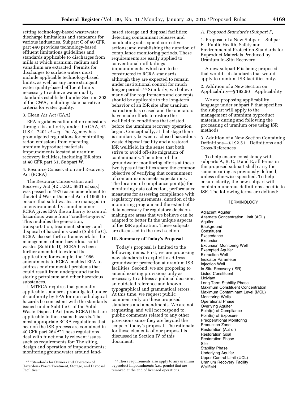setting technology-based wastewater discharge limitations and standards for various industries. Subpart C of 40 CFR part 440 provides technology-based effluent limitations guidelines and standards applicable to discharges from mills at which uranium, radium and vanadium are extracted. Permits for discharges to surface waters must include applicable technology-based limits, as well as any more stringent water quality-based effluent limits necessary to achieve water quality standards established under Section 303 of the CWA, including state narrative criteria for water quality.

#### 3. Clean Air Act (CAA)

EPA regulates radionuclide emissions through its authority under the CAA, 42 U.S.C. 7401 *et seq.* The Agency has promulgated regulations for controlling radon emissions from operating uranium byproduct materials impoundments located at uranium recovery facilities, including ISR sites, at 40 CFR part 61, Subpart W.

4. Resource Conservation and Recovery Act (RCRA)

The Resource Conservation and Recovery Act (42 U.S.C. 6901 *et seq.*) was passed in 1976 as an amendment to the Solid Waste Disposal Act of 1965, to ensure that solid wastes are managed in an environmentally sound manner. RCRA gives EPA the authority to control hazardous waste from ''cradle-to-grave.'' This includes the generation, transportation, treatment, storage, and disposal of hazardous waste (Subtitle C). RCRA also set forth a framework for the management of non-hazardous solid wastes (Subtitle D). RCRA has been further amended to extend its application; for example, the 1986 amendments to RCRA enabled EPA to address environmental problems that could result from underground tanks storing petroleum and other hazardous substances.

UMTRCA requires that generally applicable standards promulgated under its authority by EPA for non-radiological hazards be consistent with the standards issued under Subtitle C of the Solid Waste Disposal Act (now RCRA) that are applicable to those same hazards. The most appropriate RCRA regulations that bear on the ISR process are contained in 40 CFR part 264.47 These regulations deal with functionally relevant issues such as requirements for: The siting, design and operation of impoundments; monitoring groundwater around land-

based storage and disposal facilities; detecting contaminant releases and conducting subsequent corrective actions; and establishing the duration of compliance monitoring periods. These requirements are easily applied to conventional mill tailings impoundments, which are to be constructed to RCRA standards, although they are expected to remain under institutional control for much longer periods.48 Similarly, we believe many of the requirements and concepts should be applicable to the long-term behavior of an ISR site after uranium extraction has ceased and the operators have made efforts to restore the wellfield to conditions that existed before the uranium recovery operation began. Conceptually, at that stage there is similarity between a closed hazardous waste disposal facility and a restored ISR wellfield in the sense that both strive to avoid off-site migration of contaminants. The intent of the groundwater monitoring efforts at these two types of facilities share the common objective of verifying that containment of contaminants meets expectations. The location of compliance point(s) for monitoring data collection, performance measures for assessing compliance with regulatory requirements, duration of the monitoring program and the extent of data necessary for regulatory decisionmaking are areas that we believe can be adapted to better fit the unique aspects of the ISR application. These subjects are discussed in the next section.

#### **III. Summary of Today's Proposal**

Today's proposal is limited to the following items. First, we are proposing new standards to explicitly address groundwater protection at uranium ISR facilities. Second, we are proposing to amend existing provisions only as necessary to address a judicial decision, an outdated reference and known typographical and grammatical errors. At this time, we request public comment only on these proposed standards and amendments. We are not requesting, and will not respond to, public comments related to any other provisions since they are beyond the scope of today's proposal. The rationale for these elements of our proposal is discussed in Section IV of this document.

#### *A. Proposed Standards (Subpart F)*

1. Proposal of a New Subpart—Subpart F—Public Health, Safety and Environmental Protection Standards for Byproduct Materials Produced by Uranium In-Situ Recovery

A new subpart F is being proposed that would set standards that would apply to uranium ISR facilities only.

2. Addition of a New Section on Applicability—§ 192.50 Applicability

We are proposing applicability language under subpart F that specifies the subpart will apply to the management of uranium byproduct materials during and following the processing of uranium ores using ISR methods.

3. Addition of a New Section Containing Definitions—§ 192.51 Definitions and Cross-References

To help ensure consistency with subparts A, B, C, D and E, all terms in the proposed subpart shall carry the same meaning as previously defined, unless otherwise specified. To help ensure clarity, the new subpart will contain numerous definitions specific to ISR. The following terms are defined:

#### **TERMINOLOGY**

Adjacent Aquifer Alternate Concentration Limit (ACL) Aquifer **Background** Constituent Exceedance Excursion Excursion Monitoring Well Exempted Aquifer Extraction Well Indicator Parameter Injection Well In-Situ Recovery (ISR) Listed Constituent Lixiviant Long-Term Stability Phase Maximum Constituent Concentration Maximum Contaminant Level (MCL) Monitoring Wells Operational Phase Overlying Aquifer Point(s) of Compliance Point(s) of Exposure Preoperational Monitoring Production Zone Restoration (Act of) Restoration Goal Restoration Phase Site Stability Phase Underlying Aquifer Upper Control Limit (UCL) Uranium Recovery Facility Wellfield

<sup>47</sup> ''Standards for Owners and Operators of Hazardous Waste Treatment, Storage, and Disposal Facilities.''

<sup>48</sup>These requirements also apply to any uranium byproduct impoundments (*i.e.,* ponds) that are removed at the end of licensed operations.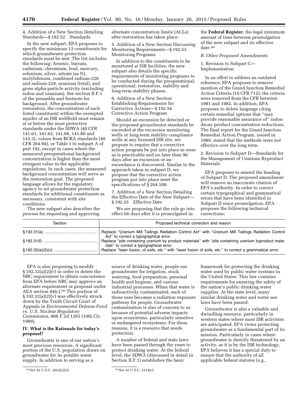4. Addition of a New Section Detailing Standards—§ 192.52 Standards

In the new subpart, EPA proposes to specify the minimum 13 constituents for which groundwater protection standards must be met. The list includes the following: Arsenic, barium, cadmium, chromium, lead, mercury, selenium, silver, nitrate (as N), molybdenum, combined radium-226 and radium-228, uranium (total), and gross alpha-particle activity (excluding radon and uranium). See section II.F.1 of the preamble and footnote for background. After groundwater restoration, the concentration of each listed constituent within the exempted aquifer of an ISR wellfield must remain at or below the most protective standards under the SDWA (40 CFR 141.61, 141.62, 141.66, 141.80 and 143.3), values from RCRA standards (40 CFR 264.94), or Table 1 to subpart A of part 192, except in cases where the measured preoperational background concentration is higher than the most stringent value in the applicable regulations. In such cases, the measured background concentration will serve as the restoration goal. The proposed language allows for the regulatory agency to set groundwater protection standards for additional constituents as necessary, consistent with site conditions.

The new subpart also describes the process for requesting and approving

alternate concentration limits (ACLs) after restoration has taken place.

5. Addition of a New Section Discussing Monitoring Requirements—§ 192.53 Monitoring Programs

In addition to the constituents to be monitored at ISR facilities, the new subpart also details the specific requirements of monitoring programs to be conducted during the preoperational, operational, restoration, stability and long-term stability phases.

6. Addition of a New Section Establishing Requirements for Corrective Actions—§ 192.54 Corrective Action Program

Should an excursion be detected or the proposed groundwater standards be exceeded at the excursion monitoring wells or long-term stability compliance wells at any licensed ISR site, we propose to require that a corrective action program be put into place as soon as is practicable and no later than 90 days after an excursion or an exceedance is discovered. Similar to the approach taken in subpart D, we propose that the corrective action program put into place meet the specifications of § 264.100.

7. Addition of a New Section Detailing the Effective Date of the New Subpart— § 192.55 Effective Date

We are proposing that the rule go into effect 60 days after it is promulgated in

the **Federal Register**, the legal minimum amount of time between promulgation of the new subpart and its effective date.49

#### *B. Other Proposed Amendments*

1. Revision to Subpart C— Implementation

In an effort to address an outdated reference, EPA proposes to remove mention of the Grand Junction Remedial Action Criteria (10 CFR 712); the criteria were removed from the CFR between 1981 and 1982. In addition, EPA proposes to delete language citing certain remedial options that ''may provide reasonable assurance of'' radon decay product concentration reductions. The final report for the Grand Junction Remedial Action Program, issued in 1989, stated that the methods were not effective over the long term.

2. Revision to Subpart D—Standards for the Management of Uranium Byproduct Materials

EPA proposes to amend the heading of Subpart D. The proposed amendment will remove an inaccurate citation of EPA's authority. In order to correct certain typographical and grammatical errors that have been identified in Subpart D since promulgation, EPA proposes the following technical corrections:

| Section | Proposed technical correction and reason                                                                                                         |
|---------|--------------------------------------------------------------------------------------------------------------------------------------------------|
|         | Replace "Uranium Mill Tailings Rediation Control Act" with "Uranium Mill Tailings Radiation Control<br>Act" to correct a typographical error.    |
|         | Replace "pile containing uranium by product materials" with "pile containing uranium byproduct mate-<br>rials" to correct a typographical error. |
|         | Replace "laser fusion, of soils, etc." with "laser fusion of soils, etc." to correct a grammatical error.                                        |

EPA is also proposing to modify  $\S 192.32(a)(2)(v)$  in order to delete the NRC requirement to obtain concurrence from EPA before NRC may approve an alternate requirement or proposal under AEA section  $84(c)$ .<sup>50</sup> This portion of § 192.32(a)(2)(v) was effectively struck down by the Tenth Circuit Court of Appeals in *Environmental Defense Fund vs. U.S. Nuclear Regulatory Commission,* 866 F.2d 1263 (10th Cir. 1989).

#### **IV. What is the Rationale for today's proposal?**

Groundwater is one of our nation's most precious resources. A significant portion of the U.S. population draws on groundwater for its potable water supply. In addition to serving as a

source of drinking water, people use groundwater for irrigation, stock watering, food preparation, personal health and hygiene, and various industrial processes. When that water is radioactively contaminated, each of those uses becomes a radiation exposure pathway for people. Groundwater contamination is also of concern to us because of potential adverse impacts upon ecosystems, particularly sensitive or endangered ecosystems. For these reasons, it is a resource that needs protection.

A number of federal and state laws have been passed through the years to protect drinking water. At the federal level, the SDWA (discussed in detail in Section II.F.1) establishes the basic

framework for protecting the drinking water used by public water systems in the United States. This law contains requirements for ensuring the safety of the nation's public drinking water supplies. At the state level, many similar drinking water and water use laws have been passed.

Groundwater is also a valuable and dwindling resource, particularly in western states where most ISR activities are anticipated. EPA views protecting groundwater as a fundamental part of its mission. Particularly in cases where groundwater is directly threatened by an activity, as it is by the ISR technology, EPA believes it has a special duty to ensure that the authority of all applicable federal statutes (*e.g.,* 

<sup>49</sup>See 42 U.S.C. 2022(c)(3). 50See 42 U.S.C. 2114(c).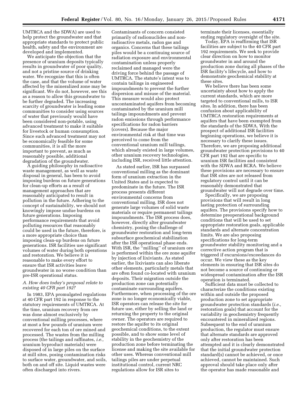UMTRCA and the SDWA) are used to help protect the groundwater and that appropriate standards to protect public health, safety and the environment are developed and implemented.

We anticipate the objection that the presence of uranium deposits typically results in groundwater of poor quality, and not a pristine source of drinking water. We recognize that this is often the case, and that the volume of water affected by the mineralized zone may be significant. We do not, however, see this as a reason to allow this groundwater to be further degraded. The increasing scarcity of groundwater is leading some communities to consider using sources of water that previously would have been considered non-potable, using advanced treatment to make it suitable for livestock or human consumption. Since such advanced treatment may not be economically feasible for some communities, it is all the more important to prevent, as much as reasonably possible, additional degradation of the groundwater.

A guiding philosophy in radioactive waste management, as well as waste disposal in general, has been to avoid imposing burdens on future generations for clean-up efforts as a result of management approaches that are reasonably anticipated to result in pollution in the future. Adhering to the concept of sustainability, we should not knowingly impose undue burdens on future generations. Imposing performance requirements that avoid polluting resources that reasonably could be used in the future, therefore, is a more appropriate choice than imposing clean-up burdens on future generations. ISR facilities use significant volumes of water during both operations and restoration. We believe it is reasonable to make every effort to ensure that ISR activities leave groundwater in no worse condition than pre-ISR operational status.

#### *A. How does today's proposal relate to existing 40 CFR part 192?*

In 1983, EPA promulgated regulations at 40 CFR part 192 in response to the statutory requirements of UMTRCA. At the time, uranium recovery from ore was done almost exclusively by conventional milling processes, where at most a few pounds of uranium were recovered for each ton of ore mined and processed. The wastes from the milling process (the tailings and raffinates, *i.e.,*  uranium byproduct materials) were disposed of in large piles on the surface at mill sites, posing contamination risks to surface water, groundwater, and soils, both on and off site. Liquid wastes were often discharged into rivers.

Contaminants of concern consisted primarily of radionuclides and nonradioactive metals, radon gas and organics. Concerns that these tailings piles would be a continuing source of radiation exposure and environmental contamination unless properly reclaimed and managed were the driving force behind the passage of UMTRCA. The statute's intent was to contain tailings in engineered impoundments to prevent the further dispersion and misuse of the material. This measure would also protect uncontaminated aquifers from becoming contaminated by the uranium mill tailings impoundments and prevent radon emissions through performance specifications for radon barriers (covers). Because the major environmental risk at that time was perceived to come from the conventional uranium mill tailings, which already existed in large volumes, other uranium recovery technologies, including ISR, received little attention.

As stated earlier, ISR has surpassed conventional milling as the dominant form of uranium extraction in the United States and is expected to predominate in the future. The ISR process presents different environmental concerns from conventional milling. ISR does not generate large volumes of solid waste materials or require permanent tailings impoundments. The ISR process does, however, directly alter groundwater chemistry, posing the challenge of groundwater restoration and long-term subsurface geochemical stabilization after the ISR operational phase ends. With ISR, the "milling" of uranium ore is performed within the ore zone aquifer by injection of lixiviants. As stated earlier, the lixiviants can also liberate other elements, particularly metals that are often found co-located with uranium deposits. Their migration outside the production zone can potentially contaminate surrounding aquifers. Furthermore, when processing of the ore zone is no longer economically viable, ISR operators can release the site for future use, either by selling the land or returning the property to the original owner. The operators are required to restore the aquifer to its original geochemical conditions, to the extent possible, and to show some level of stability in the geochemistry of the production zone before terminating the license and making the site available for other uses. Whereas conventional mill tailings piles are under perpetual institutional control, current NRC regulations allow for ISR sites to

terminate their licenses, essentially ending regulatory oversight of the site.

Today, EPA is reaffirming that ISR facilities are subject to the 40 CFR part 192 requirements. We seek to provide clear direction on how to monitor groundwater in and around the production zone during all phases of the ISR facility's lifecycle, and how to demonstrate geochemical stability at these sites.

We believe there has been some uncertainty about how to apply the current standards, which are more targeted to conventional mills, to ISR sites. In addition, there has been confusion about applicability of UMTRCA restoration requirements at aquifers that have been exempted from the standards of the SDWA. With the prospect of additional ISR facilities beginning operations, we believe it is necessary to clarify these issues. Therefore, we are proposing additional groundwater protection provisions to 40 CFR part 192 that are specific to uranium ISR facilities and consistent with the SDWA and RCRA. We believe these provisions are necessary to ensure that ISR sites are not released from regulatory control until it can be reasonably demonstrated that groundwater will not degrade over time.

Specifically, we are proposing provisions that will result in long lasting protection of surrounding aquifers. The provisions specify how to determine preoperational background conditions that will be used to set appropriate restoration goals, applicable standards and alternate concentration limits. We are also proposing specifications for long-term groundwater stability monitoring and a corrective action program that is triggered if excursions/exceedances do occur. We view these as the key elements in ensuring that ISR sites do not become a source of continuing or widespread contamination after the ISR operation is terminated.

Sufficient data must be collected to characterize the conditions existing within and outside the proposed production zone to set appropriate groundwater protection standards (*i.e.,*  restoration goals) that account for the variability in geochemistry frequently encountered in mineralized regions. Subsequent to the end of uranium production, the regulator must ensure that alternate standards are approved only after restoration has been attempted and it is clearly demonstrated that the initial groundwater protection standard(s) cannot be achieved, or once achieved, cannot be maintained. Such approval should take place only after the operator has made reasonable and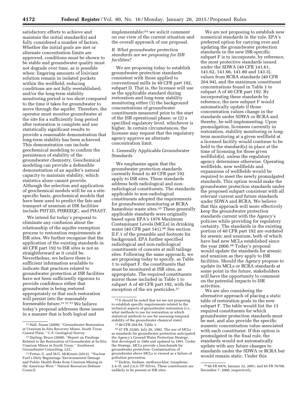satisfactory efforts to achieve and maintain the initial standard(s) and fully considered a number of factors. Whether the initial goals are met or alternate concentration limits are approved, conditions must be shown to be stable and groundwater quality must not degrade over time, as is possible when: lingering amounts of lixiviant solution remain in isolated pockets within the wellfield; reducing conditions are not fully reestablished; and/or the long-term stability monitoring period is too short compared to the time it takes for groundwater to move through the aquifer. Therefore, the operator must monitor groundwater at the site for a sufficiently long period after restoration is complete and use statistically significant results to provide a reasonable demonstration that long-term stability has been achieved. This demonstration can include geochemical modeling to confirm the persistence of stability of the groundwater chemistry. Geochemical modeling can provide a defensible demonstration of an aquifer's natural capacity to maintain stability, which statistics alone cannot provide. Although the selection and application of geochemical models will be on a sitespecific basis, geochemical models that have been used to predict the fate and transport of uranium at ISR facilities include PHT3D, PHREEQC, and PHAST.

We intend for today's proposal to eliminate any confusion about the relationship of the aquifer exemption process to restoration requirements at ISR sites. We further recognize that the application of the existing standards in 40 CFR part 192 to ISR sites is not as straightforward as it could be. Nevertheless, we believe there is sufficient information available to indicate that practices related to groundwater protection at ISR facilities have not been sufficiently rigorous to provide confidence either that groundwater is being restored appropriately or that such restoration will persist into the reasonably foreseeable future.51 52 53 We believe today's proposal addresses these issues in a manner that is both logical and

implementable;54 we solicit comment on our view of the current situation and the overall approach of our proposal.

#### *B. What groundwater protection standards are we proposing for ISR facilities?*

We are proposing today to establish groundwater protection standards consistent with those applied to conventional mills in 40 CFR part 192, subpart D. That is, the licensee will use as the applicable standard during restoration and long-term stability monitoring either (1) the background concentrations of groundwater constituents measured prior to the start of the ISR operational phase; or (2) a specified regulatory level, whichever is higher. In certain circumstances, the licensee may request that the regulatory agency approve an alternate concentration limit.

1. Generally Applicable Groundwater Standards

We emphasize again that the groundwater protection standards currently found in 40 CFR part 192 apply to ISR sites. These standards address both radiological and nonradiological constituents. The standards applicable to non-radiological constituents adopted the requirements for groundwater monitoring at RCRA hazardous waste sites.<sup>55</sup> These generally applicable standards were originally based upon EPA's 1976 Maximum Contaminant Levels (MCLs) in drinking water (40 CFR part 141).<sup>56</sup> See section II.F.1 of the preamble and footnote for background. EPA further specified radiological and non-radiological constituents of concern at mill tailings sites. Following the same approach, we are proposing today to specify, as Table 1 to subpart F, the constituents that must be monitored at ISR sites, as appropriate. The required constituents mirror those included in Table 1 to subpart A of 40 CFR part 192, with the exception of the six pesticides.57

We are not proposing to establish new numerical standards in the rule. EPA's preferred option for carrying over and updating the groundwater protection standards in the new ISR-specific subpart F is to incorporate, by reference, the most protective standards issued under the SDWA (40 CFR 141.61, 141.62, 141.66, 141.80 and 143.3), values from RCRA standards (40 CFR 264.94), and the maximum constituent concentrations found in Table 1 to subpart A of 40 CFR part 192. By incorporating these standards by reference, the new subpart F would automatically update if those concentration values change in the standards under SDWA or RCRA and thereby, be self-implementing. Upon promulgation, licensees currently in restoration, stability monitoring or longterm monitoring at a given wellfield at a licensed facility would continue to be held to the standard(s) in place at the time of licensing for those given wellfield(s), unless the regulatory agency determines otherwise. Operating wellfields, new wellfields and expansions of wellfields would be required to meet the newly promulgated standards. This option would make the groundwater protection standards under the proposed subpart consistent with all relevant current and future standards under SDWA and RCRA. We believe that this approach will more effectively keep the groundwater protection standards current with the Agency's policies while providing for regulatory certainty. The standards in the existing portion of 40 CFR part 192 are outdated for arsenic and uranium, both of which have had new MCLs established since the year 2000.58 Today's proposal would update the standards for arsenic and uranium as they apply to ISR facilities. Should the Agency propose to update its MCLs or RCRA standards at some point in the future, stakeholders will have the opportunity to comment on the potential impacts to ISR activities.

We are also considering the alternative approach of placing a static table of restoration goals in the new subpart F. The table would list the 13 required constituents for which groundwater protection standards must be met, and also provide the specific numeric concentration value associated with each constituent. If this option is promulgated in the final rule, the standards would not automatically update with any future changes to standards under the SDWA or RCRA but would remain static. Under this

<sup>51</sup>Hall, Susan (2009). ''Groundwater Restoration at Uranium In-Situ Recovery Mines, South Texas Coastal Plain.'' U.S. Geological Survey.

<sup>52</sup> Darling, Bruce (2008). ''Report on Findings Related to the Restoration of Groundwater at In-Situ Uranium Mines in South Texas.'' Southwest Groundwater Consulting, LLC.

<sup>53</sup>Fettus, G. and M.G. McKinzie (2012). ''Nuclear Fuel's Dirty Beginnings: Environmental Damage and Public Health Risks from Uranium Mining in the American West.'' Natural Resources Defense Council.

<sup>54</sup> It should be noted that we are not proposing to establish specific requirements related to the technical aspects of groundwater restoration (*i.e.,*  what methods to use for restoration or which statistical methods to use for assessing temporal stability of the groundwater chemical state).

<sup>55</sup> 40 CFR 264.94, Table 1.

<sup>56</sup> 47 FR 32285, July 26, 1982. The use of MCLs as standards for groundwater protection anticipated the Agency's Ground Water Protection Strategy, first developed in 1984 and updated in 1991. Under the Strategy, MCLs provide a benchmark for groundwater protection. Contamination of groundwater above MCLs is viewed as a failure of pollution prevention.

<sup>57</sup>Endrin, lindane, methoxychlor, toxaphene, 2,4–D, and 2,4,5–TP Silvex. These constituents are unlikely to be present at ISR sites.

<sup>58</sup> 66 FR 6976, January 22, 2001; and 65 FR 76708, December 7, 2000, respectively.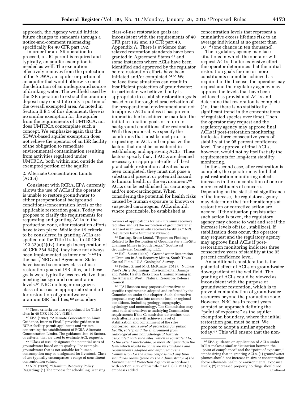approach, the Agency would initiate future changes to standards through a notice-and-comment rulemaking specifically for 40 CFR part 192.

In order for an ISR operation to proceed, a UIC permit is required and typically, an aquifer exemption is needed as well. The exemption effectively removes from the protection of the SDWA, an aquifer or portion of an aquifer that would otherwise meet the definition of an underground source of drinking water. The wellfield used by the ISR operation to extract the uranium deposit may constitute only a portion of the overall exempted area. As noted in Section II.E.1 of this document, there is no similar exemption for the aquifer from the requirements of UMTRCA, nor does UMTRCA contemplate such a concept. We emphasize again that the SDWA-based aquifer exemption does not relieve the operator of an ISR facility of the obligation to remediate environmental contamination resulting from activities regulated under UMTRCA, both within and outside the exempted portion of the aquifer.

#### 2. Alternate Concentration Limits (ACLS)

Consistent with RCRA, EPA currently allows the use of ACLs if the operator is unable to restore groundwater to either preoperational background conditions/concentration levels or the applicable restoration goals. Today we propose to clarify the requirements for requesting and granting ACLs in the production zone, after restoration efforts have taken place. While the 19 criteria to be considered in granting ACLs are spelled out for Title II sites in 40 CFR 192.32(a)(2)(iv) through incorporation of 40 CFR 264.94(b), they have not always been implemented as intended.59 60 In the past, NRC and Agreement States have issued secondary class-of-use restoration goals at ISR sites, but these goals were typically less restrictive than meeting background concentration levels.61 NRC no longer recognizes class-of-use as an appropriate standard for restoration of groundwater at uranium ISR facilities; 62 secondary

groundwater based on its quality. For example, groundwater that is not suitable for human consumption may be designated for livestock. Class of use typically encompasses a range of constituent concentration values.

62NRC (2009). ''Uranium Recovery Policy Regarding: (1) The process for scheduling licensing

class-of-use restoration goals are inconsistent with the requirements of 40 CFR part 192 and 10 CFR part 40, Appendix A. There is evidence that relaxed restoration standards have been granted in Agreement States,63 and some instances where ACLs have been identified and approved by the regulator before restoration efforts have been initiated and/or completed.64 65 We believe these situations can result in insufficient protection of groundwater; in particular, we believe it only is appropriate to establish restoration goals based on a thorough characterization of the preoperational environment and not to approve ACLs unless it has proven impracticable to achieve or maintain the initial restoration goals or return to background conditions after restoration. With this proposal, we specify the conditions that must be met prior to requesting an ACL and emphasize the factors that must be considered in establishing and approving ACLs. These factors specify that, if ACLs are deemed necessary or appropriate after all best practicable restoration activities have been completed, they must not pose a substantial present or potential hazard to human health or the environment.<sup>66</sup> ACLs can be established for carcinogens and/or non-carcinogens. When considering the potential for health risks caused by human exposure to known or suspected carcinogens, ACLs should, where practicable, be established at

64Hall, Susan (2009). ''Groundwater Restoration at Uranium In-Situ Recovery Mines, South Texas Coastal Plain.'' U.S. Geological Survey.

65Fettus, G. and M.G. McKinzie (2012). ''Nuclear Fuel's Dirty Beginnings: Environmental Damage and Public Health Risks from Uranium Mining in the American West.'' Natural Resources Defense Council.

66 ''[A] licensee may propose alternatives to specific requirements adopted and enforced by the Commission under this chapter. Such alternative proposals may take into account local or regional conditions, including geology, topography, hydrology and meteorology. The Commission may treat such alternatives as satisfying Commission requirements if the Commission determines that such alternatives will achieve a level of stabilization and containment of the sites concerned, and a *level of protection for public health, safety, and the environment from radiological and nonradiological hazards associated with such sites, which is equivalent to, to the extent practicable, or more stringent than the level which would be achieved by standards and requirements adopted and enforced by the Commission for the same purpose and any final standards promulgated by the Administrator of the Environmental Protection Agency* in accordance with section 2022 of this title.'' 42 U.S.C. 2114(c), emphasis added.

concentration levels that represent a cumulative excess lifetime risk to an average individual at no greater than  $10^{-4}$  (one chance in ten thousand).

The regulatory agency may face situations in which the operator will request ACLs. If after extensive effort the operator determines that the initial restoration goals for one or more constituents cannot be achieved as required in the license, the operator may request and the regulatory agency may approve the levels that have been achieved as provisional ACLs and determine that restoration is complete (*i.e.,* that there is no statistically significant trend in the concentrations of regulated species over time). Then, the operator may request and the regulatory agency may approve final ACLs if post-restoration monitoring indicates three consecutive years of stability at the 95 percent confidence level. The approval of final ACLs, however, would not by itself satisfy the requirements for long-term stability monitoring.

In the second case, after restoration is complete, the operator may find that post-restoration monitoring detects increases in the concentration of one or more constituents of concern. Depending on the statistical significance of the increase, the regulatory agency may determine that further attempts at restoration or corrective action are needed. If the situation persists after such action is taken, the regulatory agency may choose to wait and see if the increase levels off (*i.e.,* stabilizes). If stabilization does occur, the operator may request and the regulatory agency may approve final ACLs if postrestoration monitoring indicates three consecutive years of stability at the 95 percent confidence level.

An additional consideration is the potential effect of ACLs on groundwater downgradient of the wellfield. The granting of ACLs could be viewed as inconsistent with the purpose of groundwater restoration, which is to prevent contamination of groundwater resources beyond the production zone. However, NRC has in recent years adopted an approach defining the ''point of exposure'' as the aquifer exemption boundary, where the initial restoration goal must be met. We propose to adopt a similar approach today.67 This will ensure that the non-

<sup>&</sup>lt;sup>59</sup>These criteria are also reproduced for Title I sites in 40 CFR 192.02(c)(3)(ii).

<sup>&</sup>lt;sup>60</sup> EPA (1987). "Alternate Concentration Limit Guidance, Interim Final,'' provides guidance to RCRA facility permit applicants and writers concerning the establishment of RCRA Alternate Concentration Limits. The guidance lists 19 factors, % or criteria, that are used to evaluate ACL requests.  $61$  ''Class of use'' designates the potential uses of

reviews of applications for new uranium recovery facilities and  $(2)$  the restoration of groundwater at licensed uranium in situ recovery facilities.'' NRC Regulatory Issue Summary 2009–05.

<sup>63</sup> Darling, Bruce (2008). ''Report on Findings Related to the Restoration of Groundwater at In-Situ Uranium Mines in South Texas.'' Southwest Groundwater Consulting, LLC.

<sup>67</sup>EPA guidance on application of ACLs under RCRA makes a similar distinction between the ''point of compliance'' and the ''point of exposure,'' emphasizing that in granting ACLs, (1) groundwater plumes should not increase in size or concentration above allowable health or environmental exposure levels; (2) increased property holdings should not Continued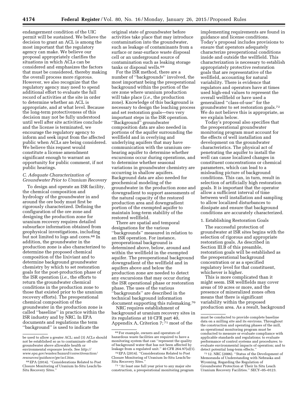endangerment condition of the UIC permit will be sustained. We believe the decision to grant an ACL is among the most important that the regulatory agency can make. We believe our proposal appropriately clarifies the situations in which ACLs can be considered and emphasizes the factors that must be considered, thereby making the overall process more rigorous. However, we also recognize that the regulatory agency may need to spend additional effort to evaluate the full record of activities at the site in order to determine whether an ACL is appropriate, and at what level. Because the long-term protectiveness of this decision may not be fully understood until well after site activities conclude and the license is terminated, we encourage the regulatory agency to inform and seek input from the affected public when ACLs are being considered. We believe this request would constitute a license amendment significant enough to warrant an opportunity for public comment, if not public hearings.

#### *C. Adequate Characterization of Groundwater Prior to Uranium Recovery*

To design and operate an ISR facility, the chemical composition and hydrology of the groundwater in and around the ore body must first be rigorously characterized. Defining the configuration of the ore zone and designing the production zone for uranium recovery requires detailed subsurface information obtained from geophysical investigations, including but not limited to logs and cores.68 In addition, the groundwater in the production zone is also characterized to determine the proposed chemical composition of the lixiviant and to determine background groundwater chemistry by which to set restoration goals for the post-production phase of the ISR operation (*i.e.,* the efforts to return the groundwater chemical conditions in the production zone to those that existed prior to the uranium recovery efforts). The preoperational chemical composition of the groundwater in the production zone is called ''baseline'' in practice within the ISR industry and by NRC. In EPA documents and regulations the term ''background'' is used to indicate the

original state of groundwater before activities take place that may introduce contamination into the groundwater, such as leakage of contaminants from a surface or near-surface waste disposal cell or an underground source of contamination such as leaking storage tanks or disposal wells.69

For the ISR method, there are a number of ''backgrounds'' involved, the most important being the preoperational background within the portion of the ore zone where uranium production will take place (*i.e.,* the production zone). Knowledge of this background is necessary to design the leaching process and set restoration goals—two very important steps in the ISR operation. ''Background'' groundwater composition data are also needed in portions of the aquifer surrounding the wellfield and in overlying and underlying aquifers that may have communication with the uranium orebearing aquifer to determine whether excursions occur during operations, and to determine whether seasonal variations in groundwater chemistry are occurring in shallow aquifers. Background data are also needed for geochemical modeling of the groundwater in the production zone and downgradient to support assessments of the natural capacity of the restored production area and downgradient portion of the exempted aquifer to maintain long-term stability of the restored wellfield.

There are spatial and temporal designations for the various ''backgrounds'' measured in relation to an ISR operation. For instance, preoperational background is determined above, below, around and within the wellfield in the exempted aquifer. The preoperational background downgradient of the wellfield and in aquifers above and below the production zone are needed to detect any excursions that may occur during the ISR operational phase or restoration phase. The uses of the various ''backgrounds'' are described in the technical background information document supporting this rulemaking.70

NRC requires establishment of background at uranium recovery sites in its regulations at 10 CFR part 40, Appendix A, Criterion  $7;71$  most of the

implementing requirements are found in guidance and license conditions. Today's proposal includes provisions to ensure that operators adequately characterize preoperational conditions inside and outside the wellfield. This characterization is necessary to establish appropriately protective restoration goals that are representative of the wellfield, accounting for natural variability. There is evidence that regulators and operators have at times used high-end values to represent the overall wellfield or have used a generalized ''class-of-use'' for the groundwater to set restoration goals.72 We do not believe this is appropriate, as we explain below.

Today's proposal also specifies that the preoperational groundwater monitoring program must account for the effects of well installation and development on the groundwater characteristics. The physical act of penetrating the aquifer to install the well can cause localized changes in constituent concentrations or chemical parameters, which can lead to a misleading picture of background conditions. This can, in turn, result in selection of artificially high restoration goals. It is important that the operator allow a sufficient interval of time between well installation and sampling to allow localized disturbances to dissipate and ensure that background conditions are accurately characterized.

#### 1. Establishing Restoration Goals

The successful protection of groundwater at ISR sites begins with the selection of rigorous and appropriate restoration goals. As described in Section III.B of this preamble, restoration goals will be established as the preoperational background concentration or as a specified regulatory level for that constituent, whichever is higher.

This is more complicated than it might seem. ISR wellfields may cover areas of 10 acres or more, and the presence of mineralized zones often means that there is significant variability within the proposed production area. As a result, background

72 12. NRC (2006). ''Status of the Development of Memoranda of Understanding with Nebraska and Wyoming, Regarding the Regulation of Groundwater Protection at Their In Situ Leach Uranium Recovery Facilities.'' SECY–05–0123.

be used to allow a greater ACL; and (3) ACLs should not be established so as to contaminate off-site groundwater above allowable health or environmental exposure levels. See *[http://](http://www.epa.gov/wastes/hazard/correctiveaction/resources/guidance/gw/acl.htm) [www.epa.gov/wastes/hazard/correctiveaction/](http://www.epa.gov/wastes/hazard/correctiveaction/resources/guidance/gw/acl.htm) [resources/guidance/gw/acl.htm.](http://www.epa.gov/wastes/hazard/correctiveaction/resources/guidance/gw/acl.htm)* 

<sup>68</sup>EPA (2014). ''Considerations Related to Post Closure Monitoring of Uranium In-Situ Leach/In-Situ Recovery Sites.''

<sup>69</sup>For example, owners and operators of hazardous waste facilities are required to have a monitoring system that can ''represent the quality of background water that has not been affected by leakage from a regulated unit.'' 40 CFR 264.97(a)(1).

<sup>70</sup>EPA (2014). ''Considerations Related to Post Closure Monitoring of Uranium In-Situ Leach/In-Situ Recovery Sites.''

<sup>71</sup> ''At least one full year prior to any major site construction, a preoperational monitoring program

must be conducted to provide complete baseline data on a milling site and its environs. Throughout the construction and operating phases of the mill, an operational monitoring program must be conducted to measure or evaluate compliance with applicable standards and regulations; to evaluate performance of control systems and procedures; to evaluate environmental impacts of operation; and to detect potential long-term effects.''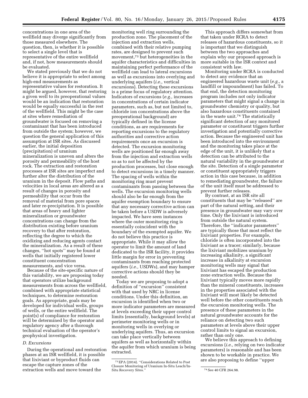concentrations in one area of the wellfield may diverge significantly from those measured elsewhere. The question, then, is whether it is possible to select a single level that is representative of the entire wellfield and, if not, how measurements should be evaluated.

We stated previously that we do not believe it is appropriate to select among high-end measurements as representative values for restoration. It might be argued, however, that restoring a given well to its preoperational values would be an indication that restoration would be equally successful in the rest of the wellfield. This might be the case at sites where remediation of groundwater is focused on removing a contaminant that has been introduced from outside the system; however, we question the general application of this assumption at ISR sites. As discussed earlier, the initial deposition (precipitation) of uranium mineralization is uneven and alters the porosity and permeability of the host rock. The extraction and restoration processes at ISR sites are imperfect and further alter the distribution of the uranium in the deposit. Flow paths and velocities in local areas are altered as a result of changes in porosity and permeability that occur from the removal of material from pore spaces and later re-precipitation. It is possible that areas of heavy and lighter mineralization or groundwater concentrations can change from the distribution existing before uranium recovery to that after restoration, reflecting the degree to which the oxidizing and reducing agents contact the mineralization. As a result of these changes, ''hot spots'' may be found at wells that initially registered lower constituent concentration measurements, and vice versa.

Because of the site-specific nature of this variability, we are proposing today that operators utilize background measurements from across the wellfield, combined with appropriate statistical techniques, to determine restoration goals. As appropriate, goals may be developed for individual wells, groups of wells, or the entire wellfield. The point(s) of compliance for restoration will be determined by the operator and regulatory agency after a thorough technical evaluation of the operator's geophysical investigation.

#### *D. Excursions*

During the operational and restoration phases at an ISR wellfield, it is possible that lixiviant or byproduct fluids can escape the capture zones of the extraction wells and move toward the

monitoring well ring surrounding the production zone. The placement of the injection and extraction wells, combined with their relative pumping rates, are designed to prevent such movement,73 but heterogeneities in the aquifer characteristics and difficulties in maintaining perfect performance of the wellfield can lead to lateral excursions as well as excursions into overlying and underlying aquifers (*i.e.,* vertical excursions). Detecting these excursions is a prime focus of regulatory attention. Indicators of excursions (*e.g.,* increases in concentrations of certain indicator parameters, such as, but not limited to, chloride ion concentrations above the preoperational background) are typically defined in the license conditions, as are requirements for reporting excursions to the regulatory authorities and corrective action requirements once an excursion is detected. The excursion monitoring wells are positioned far enough away from the injection and extraction wells so as to not be affected by the production processes, but close enough to detect excursions in a timely manner. The spacing of wells within the monitoring ring must prevent contaminants from passing between the wells. The excursion monitoring wells should also be far enough from the aquifer exemption boundary to ensure that any necessary corrective action can be taken before a USDW is adversely impacted. We have seen instances where the outer monitoring ring is essentially coincident with the boundary of the exempted aquifer. We do not believe this practice is appropriate. While it may allow the operator to limit the amount of land dedicated to the ISR facility, it provides little margin for error in preventing contaminants from reaching protected aquifers (*i.e.,* USDWs), and may hamper corrective actions should they be needed.

Today we are proposing to adopt a definition of ''excursion'' consistent with that used by NRC in license conditions. Under this definition, an excursion is identified when two or more indicator parameters are measured at levels exceeding their upper control limits (essentially, background levels) at perimeter monitoring wells or in monitoring wells in overlying or underlying aquifers. Thus, an excursion can take place vertically between aquifers as well as horizontally within the aquifer from which uranium is being extracted.

This approach differs somewhat from that taken under RCRA to detect releases of hazardous constituents, so it is important that we distinguish between the two approaches and explain why our proposed approach is more suitable in the ISR context and consistent with law.

Monitoring under RCRA is conducted to detect any evidence that an engineered hazardous waste unit (*e.g.,* a landfill or impoundment) has failed. To that end, the detection monitoring program includes not only indicator parameters that might signal a change in groundwater chemistry or quality, but also hazardous constituents contained in the waste unit.74 The statistically significant detection of any monitored parameter or constituent triggers further investigation and potentially corrective action. Because the engineered unit has been introduced into the environment and the monitoring takes place at the edge of the unit, it is unlikely that a detection can be attributed to the natural variability in the groundwater at the site. Detection of a single parameter or constituent appropriately triggers action in this case because, in addition to remediating groundwater, the failure of the unit itself must be addressed to prevent further releases.

By contrast, at an ISR site all constituents that may be ''released'' are part of the natural setting, and their presence in groundwater may vary over time. Only the lixiviant is introduced from outside the natural system. Therefore, the ''indicator parameters'' are typically those that most reflect the lixiviant properties. For example, chloride is often incorporated into the lixiviant as a tracer; similarly, because the lixiviant mobilizes uranium by increasing alkalinity, a significant increase in alkalinity at excursion monitoring wells may signal that lixiviant has escaped the production zone extraction wells. Because the lixiviant typically moves more rapidly than the mineral constituents, increases in the properties associated with the lixiviant will most likely be detected well before the other constituents reach the excursion monitoring wells. The presence of these parameters in the natural groundwater accounts for the reliance on detecting two such parameters at levels above their upper control limits to signal an excursion, rather than only one.

We believe this approach to defining excursions (*i.e.,* relying on two indicator parameters) is reasonable and has been shown to be workable in practice. We are also proposing to define ''upper

<sup>73</sup>EPA (2014). ''Considerations Related to Post Closure Monitoring of Uranium In-Situ Leach/In-Situ Recovery Sites." The CFR 264.98.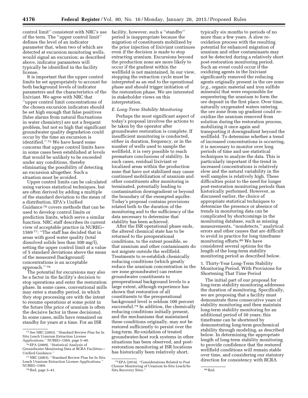control limit'' consistent with NRC's use of the term. The ''upper control limit'' defines the level of an indicator parameter that, when two of which are detected at excursion monitoring wells, would signal an excursion; as described above, indicator parameters will typically be identified in the facility license.

It is important that the upper control limits be set appropriately to account for both background levels of indicator parameters and the characteristics of the lixiviant. We agree with NRC that ''upper control limit concentrations of the chosen excursion indicators should be set high enough that false positives (false alarms from natural fluctuations in water chemistry) are not a frequent problem, but not so high that significant groundwater quality degradation could occur by the time an excursion is identified.'' 75 We have heard some concerns that upper control limits have in some cases been established at levels that would be unlikely to be exceeded under any conditions, thereby eliminating the possibility of detecting an excursion altogether. Such a situation must be avoided.

Upper control limits can be calculated using various statistical techniques, but are often derived by adding a multiple of the standard deviation to the mean of a distribution. EPA's Unified Guidance 76 covers methods that can be used to develop control limits or prediction limits, which serve a similar function. NRC staff describes its current view of acceptable practice in NUREG– 1569 77: ''The staff has decided that in areas with good water quality (total dissolved solids less than 500 mg/l), setting the upper control limit at a value of 5 standard deviations above the mean of the measured [background] concentrations is an acceptable approach.'' 78

The potential for excursions may also be a factor in the facility's decision to stop operations and enter the restoration phase. In some cases, conventional mills may enter a standby period, in which they stop processing ore with the intent to resume operations at some point in the future (the price of uranium is often the decisive factor in these decisions). In some cases, mills have remained on standby for years at a time. For an ISR

#### *E. Long-Term Stability Monitoring*

Perhaps the most significant aspect of today's proposal involves the actions to be taken by the operator after groundwater restoration is complete. If insufficient monitoring is conducted, either in duration, frequency, or in the number of wells used to sample the wellfield, it is very possible to reach premature conclusions of stability. In such cases, residual lixiviant or localized areas within the production zone that have not stabilized may cause continued mobilization of uranium and other constituents after monitoring is terminated, potentially leading to contamination downgradient or beyond the boundary of the exempted aquifer. Today's proposal contains provisions related both to the duration of the monitoring and to the sufficiency of the data necessary to determine that stability has been achieved.

After the ISR operational phase ends, the altered chemical state has to be returned to the preoperational conditions, to the extent possible, so that uranium and other contaminants do not migrate outside the wellfield. Treatments to re-establish chemically reducing conditions (which greatly reduce the uranium concentration in the ore zone groundwater) can restore groundwater constituents to preoperational background levels to a large extent, although experience has shown that restoration of all constituents to the preoperational background level is seldom 100 percent successful.79 In addition, the chemically reducing conditions initially present, and the mechanisms that maintained these conditions originally, may not be restored sufficiently to persist over the long-term. Re-oxidation of treated groundwater-host rock systems in other situations has been observed, and postrestoration monitoring at ISR locations has historically been relatively short,

typically six months to periods of no more than a few years. A slow reoxidation process with the resulting potential for enhanced migration of uranium and other contaminants may not be detected during a relatively short post-restoration monitoring period. Such an event could occur if the oxidizing agents in the lixiviant significantly removed the reducing agents originally present in the ore zone (*e.g.,* organic material and iron sulfide minerals) that were responsible for sequestering the uranium to form the ore deposit in the first place. Over time, naturally oxygenated waters entering the ore zone from up gradient could reoxidize the uranium removed from solution during the restoration process, mobilizing it once again and transporting it downgradient beyond the wellfield. To determine whether a trend of increased concentrations is occurring, it is necessary to monitor over long periods of time and use statistical techniques to analyze the data. This is particularly important if the trend in increased concentrations is relatively slow and the natural variability in the well samples is relatively high. These difficulties point to the need for longer post-restoration monitoring periods than historically performed. However, as discussed earlier, the choice of appropriate statistical techniques to determine the presence or absence of trends in monitoring data can be complicated by shortcomings in the monitoring database, such as missing measurements, ''nondetects,'' analytical errors and other causes that are difficult to avoid in practice for long timeframe monitoring efforts.80 We have considered several options for the length of the long-term stability monitoring period as described below.

1. Thirty-Year Long-Term Stability Monitoring Period, With Provisions for Shortening That Time Period

The initial part of our proposal for long-term stability monitoring addresses the duration of monitoring. Specifically, we are proposing that a facility must demonstrate three consecutive years of stability monitoring and then maintain long-term stability monitoring for an additional period of 30 years; this timeframe can be shortened by demonstrating long-term geochemical stability through modeling, as described below. In determining the appropriate length of long-term stability monitoring to provide confidence that the restored wellfield conditions will remain stable over time, and considering our statutory direction for consistency with RCRA

<sup>75</sup>See NRC (2003). ''Standard Review Plan for In Situ Leach Uranium Extraction License Applications.'' NUREG–1569, page 5–40.

<sup>&</sup>lt;sup>6</sup>EPA (2009). "Statistical Analysis of

Groundwater Monitoring Data at RCRA Facilities— Unified Guidance.''

<sup>77</sup>NRC (2003). ''Standard Review Plan for In Situ Leach Uranium Extraction License Applications.'' NUREG–1569. 78 Ibid, page 5–41.

facility, however, such a "standby" period is inappropriate because the migration of constituents mobilized by the prior injection of lixiviant continues even if the decision is made to stop extracting uranium. Excursions beyond the production zone are more likely to occur if the gradient within the wellfield is not maintained. In our view, stopping the extraction cycle must be interpreted as an end to the operational phase and should trigger initiation of the restoration phase. We are interested in stakeholder views on this interpretation.

<sup>79</sup>EPA (2014). ''Considerations Related to Post Closure Monitoring of Uranium In-Situ Leach/In-Situ Recovery Sites." 80 Ibid.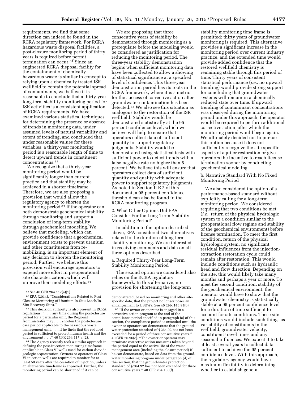requirements, we find that some direction can indeed be found in the RCRA regulatory framework. For RCRA hazardous waste disposal facilities, a post-closure monitoring period of thirty years is required before permit termination can occur.81 Since an engineered RCRA disposal facility for the containment of chemically hazardous waste is similar in concept to relying upon a chemically treated ISR wellfield to contain the potential spread of contaminants, we believe it is reasonable to conclude that a thirty-year long-term stability monitoring period for ISR activities is a consistent application of RCRA requirements. We have examined various statistical techniques for determining the presence or absence of trends in monitoring data, under assumed levels of natural variability and extent of trending, and concluded that, under reasonable values for these variables, a thirty-year monitoring period is a reasonable length of time to detect upward trends in constituent concentrations.82

We recognize that a thirty-year monitoring period would be significantly longer than current practice and that stability may be achieved in a shorter timeframe. Therefore, we are also proposing a provision that would allow the regulatory agency to shorten the monitoring period 83 if the operator can both demonstrate geochemical stability through monitoring and support a conclusion of long-term stability through geochemical modeling. We believe that modeling, which can provide confidence that a geochemical environment exists to prevent uranium and other constituents from remobilizing, is an important element of any decision to shorten the monitoring period. Further, we believe this provision will encourage operators to expend more effort in preoperational site characterization, which will improve their modeling efforts.<sup>84</sup>

84The Agency recently took a similar approach in defining the post-injection monitoring timeframe applicable to Class VI wells used for carbon dioxide geologic sequestration. Owners or operators of Class VI injection wells are required to monitor for at least 50 years after the cessation of injection, unless an alternative timeframe is approved. Further, the monitoring period can be shortened if it can be

We are proposing that three consecutive years of stability be demonstrated through monitoring as a prerequisite before the modeling would be considered as justification for reducing the monitoring period. The three-year stability demonstration begins when sufficient monitoring data have been collected to allow a showing of statistical significance at a specified level of confidence. This three-year demonstration period has its roots in the RCRA framework, where it is a metric for the success of corrective action after groundwater contamination has been detected.85 We also see this situation as analogous to the restoration of the ISR wellfield. Stability would be demonstrated statistically at the 95 percent confidence level, which we believe will help to ensure that operators collect data of sufficient quantity to support regulatory judgments. Stability would be demonstrated using statistical tests with sufficient power to detect trends with a false negative rate no higher than 5 percent. We believe this will ensure that operators collect data of sufficient quantity and quality with adequate power to support regulatory judgments. As noted in Section II.E.2 of this document, a 95 percent confidence threshold can also be found in the RCRA monitoring program.

2. What Other Options Did EPA Consider For the Long-Term Stability Monitoring Period?

In addition to the option described above, EPA considered two alternatives related to the duration of long-term stability monitoring. We are interested in receiving comments and data on all three options described.

a. Required Thirty-Year Long-Term Stability Monitoring Period

The second option we considered also relies on the RCRA regulatory framework. In this alternative, no provision for shortening the long-term

85 ''If the owner or operator is engaged in a corrective action program at the end of the compliance period specified in paragraph (a) of this section, the compliance period is extended until the owner or operator can demonstrate that the groundwater protection standard of § 264.92 has not been exceeded for a period of three consecutive years. 40 CFR 26.96(c). ''The owner or operator may terminate corrective action measures taken beyond the period equal to the active life of the waste management area (including the closure period) if he can demonstrate, based on data from the groundwater monitoring program under paragraph (d) of this section, that the ground-water protection standard of § 264.92 has not been exceeded for three consecutive years.'' 40 CFR 264.100(f).

stability monitoring time frame is permitted; thirty years of groundwater monitoring is required. This alternative provides a significant increase in the monitoring period over current industry practice, and the extended time would provide added confidence that the restored wellfield chemistry is remaining stable through this period of time. Thirty years of consistent statistical performance (*i.e.,* no upward trending) would provide strong support for concluding that groundwater systems will remain in a chemically reduced state over time. If upward trending of contaminant concentrations was observed during the monitoring period under this approach, the operator would be required to perform additional corrective action, after which the monitoring period would begin again. We ultimately decided not to pursue this option because it does not sufficiently recognize the site-specific aspects of aquifer restoration or give operators the incentive to reach license termination sooner by conducting geochemical modeling.

b. Narrative Standard With No Fixed Monitoring Period

We also considered the option of a performance-based standard without explicitly calling for a long-term monitoring period. We considered requiring that two conditions be met (*i.e.,* return of the physical hydrologic system to a condition similar to the preoperational flow regime and stability of the geochemical environment) before license termination. To meet the first condition, return of the physical hydrologic system, no significant residual influences from the injectionextraction restoration cycle could remain after restoration. This would include conditions such as hydraulic head and flow direction. Depending on the site, this would likely take many months and perhaps a year or more. To meet the second condition, stability of the geochemical environment, the operator would have to show that the groundwater chemistry is statistically stable at a 95 percent confidence level for a duration of time sufficient to account for site conditions. These site conditions would include such things as variability of constituents in the wellfield, groundwater velocity, constituent travel times and any seasonal influences. We expect it to take at least several years to collect data sufficient to achieve the 95 percent confidence level. With this approach, the regulatory agency would have maximum flexibility in determining whether to establish general

<sup>81</sup>See 40 CFR 264.117(a)(1).

<sup>82</sup>EPA (2014). ''Considerations Related to Post Closure Monitoring of Uranium In-Situ Leach/In-Situ Recovery Sites.

<sup>83</sup>This decision authority is also present in RCRA regulations: ''. . . any time during the post-closure period for a particular unit, the Regional Administrator may . . . shorten the post-closure care period applicable to the hazardous waste management unit. . . if he finds that the reduced period is sufficient to protect human health and the environment . . .'' 40 CFR 264.117(a)(2).

demonstrated, based on monitoring and other sitespecific data, that the project no longer poses an endangerment to USDWs. See 40 CFR 146.93(b).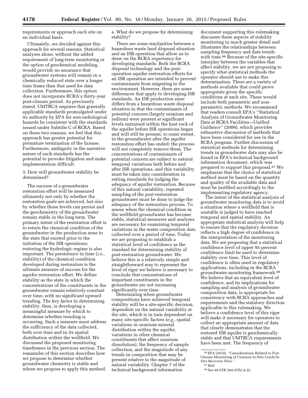requirements or approach each site on an individual basis.

Ultimately, we decided against this approach for several reasons. Statistical analyses alone, without the added requirement of long-term monitoring or the option of geochemical modeling, would provide no assurance that groundwater systems will remain in a chemically reduced state over a longer time frame than that used for data collection. Furthermore, this option does not incorporate RCRA's thirty-year post-closure period. As previously stated, UMTRCA requires that generally applicable standards promulgated under its authority by EPA for non-radiological hazards be consistent with the standards issued under Subtitle C of RCRA. Based on these two reasons, we feel that this approach has greater potential for premature termination of the license. Furthermore, ambiguity in the narrative nature of such standards has the potential to provoke litigation and make implementation difficult.

3. How will groundwater stability be determined?

The success of a groundwater restoration effort will be measured ultimately not only by whether the restoration goals are achieved, but also by whether those levels can persist and the geochemistry of the groundwater remain stable in the long term. The primary intent of the restoration effort is to return the chemical condition of the groundwater in the production zone to the state that existed prior to the initiation of the ISR operations; restoring the hydrologic regime is also important. The persistence in time (*i.e.,*  stability) of the chemical condition developed during restoration is the ultimate measure of success for the aquifer restoration effort. We define stability as the state in which the concentrations of the constituents in the groundwater remain relatively constant over time, with no significant upward trending. The key factor in determining stability, then, is developing a meaningful measure by which to determine whether trending is occurring. Such a measure must address the sufficiency of the data collected, both over time and in its spatial distribution within the wellfield. We discussed the proposed monitoring timeframes in the previous section. The remainder of this section describes how we propose to determine whether groundwater chemistry is stable and where we propose to apply this method. a. What do we propose for determining stability?

There are some similarities between a hazardous waste land disposal situation and an ISR operation that allow us to draw on the RCRA experience for developing standards. Both the RCRA disposal technology and the postoperation aquifer restoration efforts for an ISR operation are intended to prevent contaminants from migrating in the environment. However, there are some differences that apply to developing ISR standards. An ISR production zone differs from a hazardous waste disposal situation in that the contaminants of potential concern (largely uranium and radium) were present at significant levels entrained within the host rock of the aquifer before ISR operations began and will still be present, to some extent, in the groundwater after the aquifer restoration effort has ended; the process will not completely remove them. The concentrations of contaminants of potential concern are subject to natural temporal variations both before and after ISR operations, and this variability must be taken into consideration in setting standards for judging the adequacy of aquifer restoration. Because of this natural variability, repeated sampling of the post-restoration groundwater must be done to judge the adequacy of the restoration process. To assess when the chemical condition in the wellfield groundwater has become stable, statistical measures and analyses are necessary for examining temporal variations in the water composition data collected over a period of time. Today we are proposing to establish a statistical level of confidence as the standard for determining stability of post-restoration groundwater. We believe this is a relatively simple and straightforward way to represent the level of rigor we believe is necessary to conclude that concentrations of important constituents in the groundwater are not increasing significantly over time.

Determining when groundwater compositions have achieved temporal stability will be a site-specific decision, dependent on the natural variability at the site, which is in turn dependent on many site-specific factors (*e.g.,* spatial variations in uranium mineral distribution within the aquifer, variations in other chemical constituents that affect uranium dissolution), the frequency of sample collection, and the magnitude of any trends in composition that may be present relative to the magnitude of natural variability. Chapter 7 of the technical background information

document supporting this rulemaking discusses these aspects of stability monitoring in much greater detail and illustrates the relationships between sampling frequency and data trends with time.<sup>86</sup> Because of the site-specific interplay between the variables that affect stability, we are not proposing to specify what statistical methods the operator should use to make this determination. There are a variety of methods available that could prove appropriate given the specific conditions at each site. These would include both parametric and nonparametric methods. We recommend that readers consult EPA's ''Statistical Analysis of Groundwater Monitoring Data at RCRA Facilities—Unified Guidance'' (2009), which provides exhaustive discussion of methods that have been considered for use in the RCRA program. Further discussion of statistical methods for determining trends in groundwater data may also be found in EPA's technical background information document, which was prepared to support this proposal.87 We emphasize that the choice of statistical method must be based on the quantity and quality of the available data and must be justified accordingly to the implementing regulatory agency.

The intent of the statistical analysis of groundwater monitoring data is to avoid a situation where a wellfield that is unstable is judged to have reached temporal and spatial stability. An appropriate statistical analysis will help to ensure that the regulatory decision reflects a high degree of confidence in the interpretation of the monitoring data. We are proposing that a statistical confidence level of upper 95 percent confidence limit be used to determine stability over time. This level of confidence is often used in regulatory applications, including in the RCRA groundwater monitoring framework.88 We believe that an equivalent level of confidence, and its implications for sampling and analysis of groundwater composition data, is appropriate for consistency with RCRA approaches and requirements and the statutory direction applicable to this rulemaking. We believe a confidence level of this rigor will make it necessary for operators to collect an appropriate amount of data that clearly demonstrates that the restored ISR aquifer is geochemically stable and that UMTRCA requirements have been met. The frequency of

<sup>86</sup>EPA (2014). ''Considerations Related to Post Closure Monitoring of Uranium In-Situ Leach/In-Situ Recovery Sites.''

<sup>87</sup> *Ibid.* 

<sup>88</sup>See 40 CFR 264.97(h) & (i).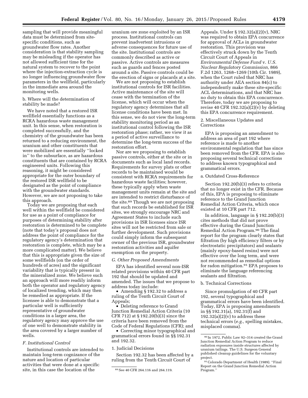sampling that will provide meaningful data must be determined from sitespecific conditions, such as groundwater flow rates. Another consideration is that stability sampling may be misleading if the operator has not allowed sufficient time for the natural system to recover to the point where the injection-extraction cycle is no longer influencing groundwater flow parameters in the wellfield, particularly in the immediate area around the monitoring wells.

#### b. Where will the determination of stability be made?

We have noted that a restored ISR wellfield essentially functions as a RCRA hazardous waste management unit. In this sense, when restoration is completed successfully, and the chemistry of the groundwater has been returned to a reducing environment, the uranium and other constituents that were mobilized are essentially ''locked in'' to the subsurface, as are hazardous constituents that are contained by RCRA engineered units. Following this reasoning, it might be considered appropriate for the outer boundary of the restored ISR wellfield to be designated as the point of compliance with the groundwater standards. However, we are not proposing to take this approach.

Today we are proposing that each well within the wellfield be considered for use as a point of compliance for purposes of determining stability after restoration is determined to be complete (note that today's proposal does not address the point of compliance for the regulatory agency's determination that restoration is complete, which may be a more complicated matter). We believe that this is appropriate given the size of some wellfields (on the order of hundreds of acres) and the significant variability that is typically present in the mineralized zone. We believe such an approach will more readily inform both the operator and regulatory agency of localized trending, which may then be remedied as appropriate. If the licensee is able to demonstrate that a particular well is sufficiently representative of groundwater conditions in a larger area, the regulatory agency may approve the use of one well to demonstrate stability in the area covered by a larger number of wells.

#### *F. Institutional Control*

Institutional controls are intended to maintain long-term cognizance of the nature and location of particular activities that were done at a specific site, in this case the location of the

uranium ore zone exploited by an ISR process. Institutional controls can prevent inadvertent intrusions or adverse consequences for future use of the site. Institutional controls are commonly described as active or passive. Active controls are measures such as guards and fences posted around a site. Passive controls could be the erection of signs or placards at a site.

We are not proposing to establish institutional controls for ISR facilities. Active maintenance of the site will cease with the termination of the license, which will occur when the regulatory agency determines that all license conditions have been met. In this sense, we do not view the long-term stability monitoring period as an institutional control following the ISR restoration phase; rather, we view it as a period of active surveillance to determine the long-term success of the restoration effort.

Nor are we proposing to establish passive controls, either at the site or in documents such as local land records. Requirements for survey plats or other records to be maintained would be consistent with RCRA requirements for hazardous waste facilities; however, these typically apply when waste management units remain at the site and are intended to restrict disturbance of the site.89 Though we are not proposing that such records be established for ISR sites, we strongly encourage NRC and Agreement States to include such provisions in ISR licenses since ISR sites will not be restricted from sale or further development. Such provisions could simply inform the subsequent owner of the previous ISR, groundwater restoration activities and aquifer exemption on the property.

#### *G. Other Proposed Amendments*

EPA has identified several non-ISR related provisions within 40 CFR part 192 that should be updated and amended. The issues that we propose to address today include:

• Amending § 192.32 to address a ruling of the Tenth Circuit Court of Appeals;

• Deleting reference to Grand Junction Remedial Action Criteria (10 CFR 712) at § 192.20(b)(3) since the criteria have been removed from the Code of Federal Regulations (CFR); and

• Correcting minor typographical and grammatical errors found in §§ 192.31 and 192.32.

#### 1. Judicial Decisions

Section 192.32 has been affected by a ruling from the Tenth Circuit Court of

Appeals. Under § 192.32(a)(2)(v), NRC was required to obtain EPA concurrence for approval of ACLs in groundwater restoration. This provision was effectively struck down by the Tenth Circuit Court of Appeals in *Environmental Defense Fund* v. *U.S. Nuclear Regulatory Commission,* 866 F.2d 1263, 1268–1269 (10th Cir. 1989), when the Court ruled that NRC has authority under AEA section 84(c) to independently make these site-specific ACL determinations, and that NRC has no duty to obtain this EPA concurrence. Therefore, today we are proposing to revise 40 CFR 192.32(a) $(\overline{2})(\overline{v})$  by deleting this EPA concurrence requirement.

2. Miscellaneous Updates and Corrections

EPA is proposing an amendment to address an area of part 192 where reference is made to another environmental regulation that has since been removed from the CFR. EPA is also proposing several technical corrections to address known typographical and grammatical errors.

#### a. Outdated Cross-Reference

Section 192.20(b)(3) refers to criteria that no longer exist in the CFR. Because of this, EPA is proposing to eliminate reference to the Grand Junction Remedial Action Criteria, which once existed at 10 CFR part 712.

In addition, language in § 192.20(b)(3) cites methods that did not prove effective during the Grand Junction Remedial Action Program.90 The final report for the program clearly states that filtration (by high efficiency filters or by electrostatic precipitators) and sealants (mainly epoxy-based resins) were not effective over the long term, and were not recommended as remedial options for radon mitigation.91 EPA proposes to eliminate the language referencing sealants and filtration.

#### b. Technical Corrections

Since promulgation of 40 CFR part 192, several typographical and grammatical errors have been identified. Today, EPA is proposing amendments in §§ 192.31(a), 192.31(f) and  $192.32(a)(2)(v)$  to address these technical errors (*e.g.,* spelling mistakes, misplaced comma).

<sup>89</sup>See 40 CFR 264.116 and 264.119.

<sup>90</sup> In 1972, Public Law 92–314 created the Grand Junction Remedial Action Program to reduce radiation exposures inside structures affected by uranium tailings. The U.S. Surgeon General published cleanup guidelines for the voluntary project.

<sup>91</sup>Colorado Department of Health (1989). ''Final Report on the Grand Junction Remedial Action Program.''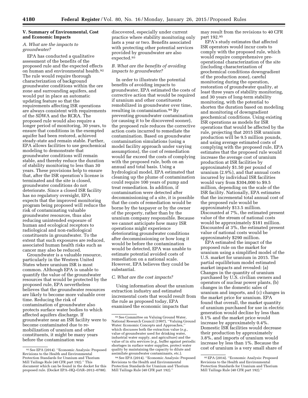#### **V. Summary of Environmental, Cost and Economic Impacts**

#### *A. What are the impacts to groundwater?*

EPA has conducted a qualitative assessment of the benefits of the proposed rule and the expected effects on human and environmental health.92 The rule would require thorough characterization of background groundwater conditions within the ore zone and surrounding aquifers, and would put in place an automatic updating feature so that the requirements affecting ISR operations are always consistent with requirements of the SDWA and the RCRA. The proposed rule would also require a longer period of monitoring, 30 years, to ensure that conditions in the exempted aquifer had been restored, achieved steady-state and remain stable. Further, EPA allows facilities to use geochemical modeling to demonstrate that groundwater conditions will remain stable, and thereby reduce the duration of stability monitoring to less than 30 years. These provisions help to ensure that, after the ISR operation's license is terminated and the site is closed, groundwater conditions do not deteriorate. Since a closed ISR facility has no regulatory oversight, EPA expects that the improved monitoring program being proposed will reduce the risk of contaminating valuable groundwater resources, thus also reducing unintended exposure of human and ecological receptors to radiological and non-radiological constituents in groundwater. To the extent that such exposures are reduced, associated human health risks such as cancer may also be reduced.

Groundwater is a valuable resource, particularly in the Western United States where uranium ISR is most common. Although EPA is unable to quantify the value of the groundwater resources that would be protected by the proposed rule, EPA nevertheless believes that the groundwater resources are likely to become more valuable over time. Reducing the risk of contamination of groundwater also protects surface water bodies to which affected aquifers discharge. If groundwater near an ISR facility were to become contaminated due to remobilization of uranium and other constituents, it might be many years before the contamination was

discovered, especially under current practice where stability monitoring only lasts a year or two. Benefits associated with protecting other potential services provided by groundwater are also expected.93

#### *B. What are the benefits of avoiding impacts to groundwater?*

In order to illustrate the potential benefits of avoiding impacts to groundwater, EPA estimated the costs of corrective action that would be required if uranium and other constituents remobilized in groundwater over time, resulting in contamination.94 By preventing groundwater contamination (or causing it to be discovered sooner), the proposed rule reduces the corrective action costs incurred to remediate the contamination. Based on groundwater contamination simulations (using a model facility approach under varying assumptions), the cost of remediation would far exceed the costs of complying with the proposed rule, both on an annual and total basis. Using a hydrological model, EPA estimated that cleaning up the plume of contamination could require 100 years of pump and treat remediation. In addition, if contamination were detected after decommissioning of a site, it is possible that the costs of remediation would be borne by the taxpayer or by the owner of the property, rather than by the uranium company responsible. Because we cannot anticipate how many ISR operations might experience deteriorating groundwater conditions after decommissioning or how long it would be before the contamination would be detected, EPA was unable to estimate potential avoided costs of remediation on a national scale. However, EPA believes they could be substantial.

#### *C. What are the cost impacts?*

Using information about the uranium extraction industry and estimated incremental costs that would result from the rule as proposed today, EPA examined the economic impacts that

may result from the revisions to 40 CFR part 192.95

EPA's study estimates that affected ISR operators would incur costs to comply with the proposed rule, which would require comprehensive preoperational characterization of the site (including characterization of geochemical conditions downgradient of the production zone), careful monitoring during the operation, restoration of groundwater quality, at least three years of stability monitoring, and 30 years of long-term stability monitoring, with the potential to shorten the duration based on modeling and monitoring of downgradient geochemical conditions. Using existing ISR operations as models for ISR operations that would be affected by the rule, projecting that 2015 ISR uranium production will be 9.5 million pounds, and using average estimated costs of complying with the proposed rule, EPA estimates that the proposed rule would increase the average cost of uranium production at ISR facilities by approximately \$1.50 per pound of uranium (2.9%), and that annual costs incurred by individual ISR facilities would vary from \$304,000 to \$9.5 million, depending on the scale of the ISR facility. Nationally, EPA estimates that the incremental total annual cost of the proposed rule would be approximately \$13.5 million. Discounted at 7%, the estimated present value of the stream of national costs would be approximately \$181 million. Discounted at 3%, the estimated present value of national costs would be approximately \$290 million.

EPA estimated the impact of the proposed rule on the market for uranium using a simplified model of the U.S. market for uranium in 2015. The partial equilibrium model estimated market impacts and revealed: (a) Changes in the quantity of uranium purchased by U.S. civilian owners and operators of nuclear power plants, (b) changes in the domestic sales of uranium and imports, and (c) changes in the market price for uranium. EPA found that overall, the market quantity of uranium purchased for use in electric generation would decline by less than 0.1% and the market price would increase by approximately 0.4%. Domestic ISR facilities would decrease their production by approximately 3.8%, and imports of uranium would increase by less than 1%. Because the cost of uranium is a very small share of

<sup>92</sup>See EPA (2014). ''Economic Analysis: Proposed Revisions to the Health and Environmental Protection Standards for Uranium and Thorium Mill Tailings Rule (40 CFR part 192).'' This document which can be found in the docket for this proposed rule. (Docket EPA–HQ–OAR–2012–0788).

<sup>93</sup>See Committee on Valuing Ground Water, National Research Council (1997), ''Valuing Ground Water: Economic Concepts and Approaches, which discusses both the extraction value (*e.g.,*  value of groundwater used for drinking water, industrial water supply, and agriculture) and the value of in situ services (*e.g.,* buffer against periodic shortages in surface water supplies, protect water quality by maintaining the capacity to dilute and assimilate groundwater contaminants, etc.).

<sup>94</sup>See EPA (2014). ''Economic Analysis: Proposed Revisions to the Health and Environmental Protection Standards for Uranium and Thorium Mill Tailings Rule (40 CFR part 192).''

<sup>95</sup>EPA (2014). ''Economic Analysis: Proposed Revisions to the Health and Environmental Protection Standards for Uranium and Thorium Mill Tailings Rule (40 CFR part 192).''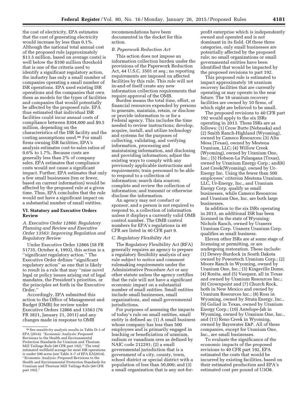the cost of electricity, EPA estimates that the cost of generating electricity would increase by less than 0.1%. Although the national total annual cost of the proposed rule (approximately \$13.5 million, based on average costs) is well below the \$100 million threshold that is one of the criteria used to identify a significant regulatory action, the industry has only a small number of companies operating a small number of ISR operations. EPA used existing ISR operations and the companies that own them as models for the types of facilities and companies that would potentially be affected by the proposed rule. EPA thus estimated that individual ISR facilities could incur annual costs of compliance between \$304,000 and \$9.5 million, depending on the characteristics of the ISR facility and the costing assumptions used.96 For small firms owning ISR facilities, EPA's analysis estimates cost-to-sales ratios of 0.6% to 1.7%. Because costs are generally less than 2% of company sales, EPA estimates that compliance costs would not cause a significant impact. Further, EPA estimates that only a few small businesses (ten or fewer, based on current information) would be affected by the proposed rule at a given time. Thus, EPA concludes that the rule would not have a significant impact on a substantial number of small entities.

#### **VI. Statutory and Executive Orders Review**

#### *A. Executive Order 12866: Regulatory Planning and Review and Executive Order 13563: Improving Regulation and Regulatory Review*

Under Executive Order 12866 (58 FR 51735, October 4, 1993), this action is a ''significant regulatory action.'' The Executive Order defines ''significant regulatory action'' as one that is likely to result in a rule that may ''raise novel legal or policy issues arising out of legal mandates, the President's priorities, or the principles set forth in the Executive Order.''

Accordingly, EPA submitted this action to the Office of Management and Budget (OMB) for review under Executive Orders 12866 and 13563 (76 FR 3821, January 21, 2011) and any changes made in response to OMB

recommendations have been documented in the docket for this action.

#### *B. Paperwork Reduction Act*

This action does not impose an information collection burden under the provisions of the Paperwork Reduction Act, 44 U.S.C. 3501 *et seq.;* no reporting requirements are imposed on affected facilities by this rule. This rule will not in-and-of itself create any new information collection requirements that require approval of the OMB.

Burden means the total time, effort, or financial resources expended by persons to generate, maintain, retain, or disclose or provide information to or for a Federal agency. This includes the time needed to review instructions; develop, acquire, install, and utilize technology and systems for the purposes of collecting, validating, and verifying information, processing and maintaining information, and disclosing and providing information; adjust the existing ways to comply with any previously applicable instructions and requirements; train personnel to be able to respond to a collection of information; search data sources; complete and review the collection of information; and transmit or otherwise disclose the information.

An agency may not conduct or sponsor, and a person is not required to respond to, a collection of information unless it displays a currently valid OMB control number. The OMB control numbers for EPA's regulations in 40 CFR are listed in 40 CFR part 9.

#### *C. Regulatory Flexibility Act*

The Regulatory Flexibility Act (RFA) generally requires an agency to prepare a regulatory flexibility analysis of any rule subject to notice and comment rulemaking requirements under the Administrative Procedure Act or any other statute unless the agency certifies that the rule will not have a significant economic impact on a substantial number of small entities. Small entities include small businesses, small organizations, and small governmental jurisdictions.

For purposes of assessing the impacts of today's rule on small entities, small entity is defined as: (1) A small business whose company has less than 500 employees and is primarily engaged in leaching or beneficiation of uranium, radium or vanadium ores as defined by NAIC code 212291; (2) a small governmental jurisdiction that is a government of a city, county, town, school district or special district with a population of less than 50,000; and (3) a small organization that is any not-for-

profit enterprise which is independently owned and operated and is not dominant in its field. Of these three categories, only small businesses are potentially affected by the proposed rule; no small organizations or small governmental entities have been identified that would be impacted by the proposed revisions to part 192.

This proposed rule is estimated to impact approximately 18 uranium recovery facilities that are currently operating or may operate in the near future. The 18 uranium recovery facilities are owned by 10 firms, of which eight are believed to be small.

The proposed revisions to 40 CFR part 192 would apply to the six ISRs operating in 2013. These ISRs are as follows: (1) Crow Butte (Nebraska) and (2) Smith Ranch-Highland (Wyoming), owned by Cameco Resources; (3) Alta Mesa (Texas), owned by Mestena Uranium, LLC; (4) Willow Creek (Wyoming), owned by Uranium One, Inc.; (5) Hobson-La Palangana (Texas), owned by Uranium Energy Corp.; and(6) Lost Creek(Wyoming), owned by Ur-Energy Inc. Using the fewer than 500 employees' criterion Mestena Uranium, LLC, Ur-Energy, Inc., and Uranium Energy Corp. qualify as small businesses, while Cameco Resources and Uranium One, Inc. are both large businesses.

In addition to the six ISRs operating in 2013, an additional ISR has been licensed in the state of Wyoming: Nichols Ranch, owned by Uranerz Uranium Corp. Uranerz Uranium Corp. qualifies as small business.

Eleven other ISRs are at some stage of licensing or permitting, or are undergoing restoration. These include: (1) Dewey-Burdock in South Dakota owned by Powertech Uranium Corp.; (2) Moore Ranch in Wyoming, owned by Uranium One, Inc.; (3) Kingsville Dome, (4) Rosita, and (5) Vasquez, all in Texas and owned by Uranium Resources Inc.; (6) Crownpoint and (7) Church Rock, both in New Mexico and owned by Uranium Resources Inc.; (8) Ross in Wyoming, owned by Strata Energy, Inc., (9) Goliad in Texas, owned by Uranium Energy Corp.; (10) Antelope-Jab in Wyoming, owned by Uranium One, Inc., and (11) Reno Creek in Wyoming, owned by Bayswater E&P. All of these companies, except for Uranium One, Inc., are small businesses.

To evaluate the significance of the economic impacts of the proposed revisions to 40 CFR part 192, EPA estimated the costs that would be incurred by existing facilities, based on their estimated production and EPA's estimated cost per pound of U3O8.

<sup>96</sup>See sensitivity analysis results in Table D–1 of EPA (2014). ''Economic Analysis: Proposed Revisions to the Health and Environmental Protection Standards for Uranium and Thorium Mill Tailings Rule (40 CFR part 192).'' The total estimated wellfield acreage for most ISR operations is under 500 acres (see Table 3–7 of EPA EA(2014). ''Economic Analysis: Proposed Revisions to the Health and Environmental Protection Standards for Uranium and Thorium Mill Tailings Rule (40 CFR part 192).''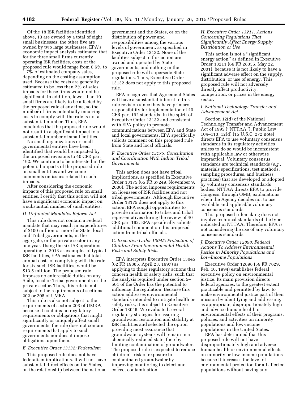Of the 18 ISR facilities identified above, 13 are owned by a total of eight small businesses; the other five are owned by two large businesses. EPA's economic impact analysis estimated that for the three small firms currently operating ISR facilities, costs of the proposed rule would range from 0.6% to 1.7% of estimated company sales, depending on the costing assumption used. Because the costs are generally estimated to be less than 2% of sales, impacts for these firms would not be significant. In addition, fewer than 10 small firms are likely to be affected by the proposed rule at any time, so the number of firms potentially incurring costs to comply with the rule is not a substantial number. Thus, EPA concludes that the proposed rule would not result in a significant impact to a substantial number of small entities.

No small organizations or small governmental entities have been identified that would be impacted by the proposed revisions to 40 CFR part 192. We continue to be interested in the potential impacts of the proposed rule on small entities and welcome comments on issues related to such impacts.

After considering the economic impacts of this proposed rule on small entities, I certify that this action will not have a significant economic impact on a substantial number of small entities.

#### *D. Unfunded Mandates Reform Act*

This rule does not contain a Federal mandate that may result in expenditures of \$100 million or more for State, local and Tribal governments, in the aggregate, or the private sector in any one year. Using the six ISR operations operating in 2013 as examples of typical ISR facilities, EPA estimates that total annual costs of complying with the rule for six such ISR facilities, would be \$13.5 million. The proposed rule imposes no enforceable duties on any State, local or Tribal governments or the private sector. Thus, this rule is not subject to the requirements of sections 202 or 205 of UMRA.

This rule is also not subject to the requirements of section 203 of UMRA because it contains no regulatory requirements or obligations that might significantly or uniquely affect small governments; the rule does not contain requirements that apply to such governments nor does it impose obligations upon them.

#### *E. Executive Order 13132: Federalism*

This proposed rule does not have federalism implications. It will not have substantial direct effects on the States, on the relationship between the national

government and the States, or on the distribution of power and responsibilities among the various levels of government, as specified in Executive Order 13132. None of the facilities subject to this action are owned and operated by State governments, and nothing in the proposed rule will supersede State regulations. Thus, Executive Order 13132 does not apply to this proposed rule.

EPA recognizes that Agreement States will have a substantial interest in this rule revision since they have primary responsibility for implementation of 40 CFR part 192 standards. In the spirit of Executive Order 13132 and consistent with EPA policy to promote communications between EPA and State and local governments, EPA specifically solicits comment on this proposed rule from State and local officials.

#### *F. Executive Order 13175: Consultation and Coordination With Indian Tribal Governments*

This action does not have tribal implications, as specified in Executive Order 13175 (65 FR 67249, November 9, 2000). The action imposes requirements on licensees of ISR facilities and not tribal governments. Although Executive Order 13175 does not apply to this action, EPA sought opportunities to provide information to tribes and tribal representatives during the review of 40 CFR part 192. EPA specifically solicits additional comment on this proposed action from tribal officials.

#### *G. Executive Order 13045: Protection of Children From Environmental Health Risks and Safety Risks*

EPA interprets Executive Order 13045 (62 FR 19885, April 23, 1997) as applying to those regulatory actions that concern health or safety risks, such that the analysis required under section 5– 501 of the Order has the potential to influence the regulation. Because this action addresses environmental standards intended to mitigate health or safety risks, it is subject to Executive Order 13045. We evaluated several regulatory strategies for assuring groundwater restoration and stability at ISR facilities and selected the option providing most assurance that groundwater systems will remain in a chemically reduced state, thereby limiting contamination of groundwater. The proposed rule is expected to reduce children's risk of exposure to contaminated groundwater by improving monitoring to detect and correct contamination.

#### *H. Executive Order 13211: Actions Concerning Regulations That Significantly Affect Energy Supply, Distribution or Use*

This action is not a ''significant energy action'' as defined in Executive Order 13211 (66 FR 28355, May 22, 2001), because it is not likely to have a significant adverse effect on the supply, distribution, or use of energy. This proposed rule will not adversely directly affect productivity, competition, or prices in the energy sector.

#### *I. National Technology Transfer and Advancement Act*

Section 12(d) of the National Technology Transfer and Advancement Act of 1995 (''NTTAA''), Public Law 104–113, 12(d) (15 U.S.C. 272 note) directs EPA to use voluntary consensus standards in its regulatory activities unless to do so would be inconsistent with applicable law or otherwise impractical. Voluntary consensus standards are technical standards (*e.g.,*  materials specifications, test methods, sampling procedures, and business practices) that are developed or adopted by voluntary consensus standards bodies. NTTAA directs EPA to provide Congress, through OMB, explanations when the Agency decides not to use available and applicable voluntary consensus standards.

This proposed rulemaking does not involve technical standards of the type indicated in NTTAA. Therefore, EPA is not considering the use of any voluntary consensus standards.

#### *J. Executive Order 12898: Federal Actions To Address Environmental Justice in Minority Populations and Low-Income Populations*

Executive Order 12898 (59 FR 7629, Feb. 16, 1994) establishes federal executive policy on environmental justice. Its main provision directs federal agencies, to the greatest extent practicable and permitted by law, to make environmental justice part of their mission by identifying and addressing, as appropriate, disproportionately high and adverse human health or environmental effects of their programs, policies, and activities on minority populations and low-income populations in the United States.

EPA has determined that this proposed rule will not have disproportionately high and adverse human health or environmental effects on minority or low-income populations because it increases the level of environmental protection for all affected populations without having any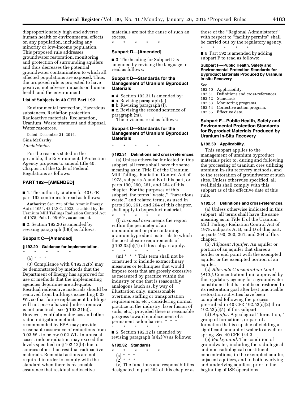disproportionately high and adverse human health or environmental effects on any population, including any minority or low-income population. This proposed rule addresses groundwater restoration, monitoring and protection of surrounding aquifers and thus decreases the potential groundwater contamination to which all affected populations are exposed. Thus, the proposed rule is projected to have positive, not adverse impacts on human health and the environment.

#### **List of Subjects in 40 CFR Part 192**

Environmental protection, Hazardous substances, Radiation protection, Radioactive materials, Reclamation, Uranium, Waste treatment and disposal, Water resources.

Dated: December 31, 2014.

**Gina McCarthy,** 

*Administrator.* 

For the reasons stated in the preamble, the Environmental Protection Agency proposes to amend title 40, Chapter I of the Code of Federal Regulations as follows:

#### **PART 192—[AMENDED]**

■ 1. The authority citation for 40 CFR part 192 continues to read as follows:

**Authority:** Sec. 275 of the Atomic Energy Act of 1954, 42 U.S.C. 2022, as added by the Uranium Mill Tailings Radiation Control Act of 1978, Pub. L. 95–604, as amended.

■ 2. Section 192.20 is amended by revising paragraph (b)(3)as follows:

#### **Subpart C—[Amended]**

#### **§ 192.20 Guidance for implementation.**

\* \* \* \* \* (b) \* \* \*

(3) Compliance with § 192.12(b) may be demonstrated by methods that the Department of Energy has approved for use or methods that the implementing agencies determine are adequate. Residual radioactive materials should be removed from buildings exceeding 0.03 WL so that future replacement buildings will not pose a hazard [unless removal is not practical—see § 192.21(c)]. However, ventilation devices and other radon mitigation methods recommended by EPA may provide reasonable assurance of reductions from 0.03 WL to below 0.02 WL. In unusual cases, indoor radiation may exceed the levels specified in § 192.12(b) due to sources other than residual radioactive materials. Remedial actions are not required in order to comply with the standard when there is reasonable assurance that residual radioactive

materials are not the cause of such an excess.

\* \* \* \* \*

#### **Subpart D—[Amended]**

■ 3. The heading for Subpart D is amended by revising the language to read as follows:

#### **Subpart D—Standards for the Management of Uranium Byproduct Materials**

- 4. Section 192.31 is amended by:
- a. Revising paragraph (a).
- b. Revising paragraph (f).
- c. Revising the second sentence of paragraph (m).

The revisions read as follows:

#### **Subpart D—Standards for the Management of Uranium Byproduct Materials**

\* \* \* \* \*

#### **§ 192.31 Definitions and cross-references.**

(a) Unless otherwise indicated in this subpart, all terms shall have the same meaning as in Title II of the Uranium Mill Tailings Radiation Control Act of 1978, subparts A and B of this part, or parts 190, 260, 261, and 264 of this chapter. For the purposes of this subpart, the terms ''waste,'' ''hazardous waste,'' and related terms, as used in parts 260, 261, and 264 of this chapter, shall apply to byproduct material. \* \* \* \* \*

(f) *Disposal area* means the region within the perimeter of an impoundment or pile containing uranium byproduct materials to which the post-closure requirements of § 192.32(b)(1) of this subpart apply.

\* \* \* \* \* (m) \* \* \* This term shall not be construed to include extraordinary measures or techniques that would impose costs that are grossly excessive as measured by practice within the industry or one that is reasonably analogous (such as, by way of illustration only, unreasonable overtime, staffing or transportation requirements, etc., considering normal practice in the industry; laser fusion of soils, etc.), provided there is reasonable progress toward emplacement of a permanent radon barrier. \* \* \*<br>\* \* \* \* \* \* \*

\* \* \* \* \* ■ 5. Section 192.32 is amended by revising paragraph (a)(2)(v) as follows:

#### **§ 192.32 Standards**

- \* \* \* \* \*
	- (a) \* \* \*
	- $(2)^*$  \* \* \*

(v) The functions and responsibilities designated in part 264 of this chapter as

those of the ''Regional Administrator'' with respect to "facility permits" shall be carried out by the regulatory agency. \* \* \* \* \*

■ 6. Part 192 is amended by adding subpart F to read as follows:

#### **Subpart F—Public Health, Safety and Environmental Protection Standards for Byproduct Materials Produced by Uranium In-situ Recovery**

Sec.

- 192.50 Applicability.
- 192.51 Definitions and cross-references.<br>192.52 Standards.
- Standards.
- 
- 192.53 Monitoring programs.<br>192.54 Corrective action prog Corrective action program.
- 192.55 Effective date.

#### **Subpart F—Public Health, Safety and Environmental Protection Standards for Byproduct Materials Produced by Uranium In-Situ Recovery**

#### **§ 192.50 Applicability.**

This subpart applies to the management of uranium byproduct materials prior to, during and following the processing of uranium ores utilizing uranium in-situ recovery methods, and to the restoration of groundwater at such sites. Unless otherwise specified, all wellfields shall comply with this subpart as of the effective date of this rule.

#### **§ 192.51 Definitions and cross-references.**

(a) Unless otherwise indicated in this subpart, all terms shall have the same meaning as in Title II of the Uranium Mill Tailings Radiation Control Act of 1978, subparts A, B, and D of this part, or parts 190, 260, 261, and 264 of this chapter.

(b) *Adjacent Aquifer.* An aquifer or portion of an aquifer that shares a border or end point with the exempted aquifer or the exempted portion of an aquifer.

(c) *Alternate Concentration Limit (ACL).* Concentration limit approved by the regulatory agency for a groundwater constituent that has not been restored to its restoration goal after best practicable restoration activities have been completed following the process prescribed in 40 CFR 192.52(c)(2) thru  $192.52(c)(5)$  of this subpart.

(d) *Aquifer.* A geological ''formation,'' group of formations, or part of a formation that is capable of yielding a significant amount of water to a well or spring. See 40 CFR 144.3.

(e) *Background.* The condition of groundwater, including the radiological and non-radiological constituent concentrations, in the exempted aquifer, adjacent aquifers, and in both overlying and underlying aquifers, prior to the beginning of ISR operations.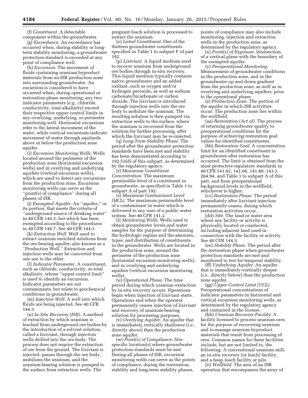(f) *Constituent.* A detectable component within the groundwater.

(g) *Exceedance.* An exceedance has occurred when, during stability or longterm stability monitoring, a groundwater protection standard is exceeded at any point of compliance well.

(h) *Excursion.* The movement of fluids containing uranium byproduct materials from an ISR production zone into surrounding groundwater. An excursion is considered to have occurred when, during operational or restoration phase monitoring, any two indicator parameters (*e.g.,* chloride, conductivity, total alkalinity) exceed their respective upper control limits in any overlying, underlying, or perimeter monitoring well. Horizontal excursions refer to the lateral movement of the water, while vertical excursions indicate movement of water through aquitards above or below the production zone aquifer.

(i) *Excursion Monitoring Wells.* Wells located around the perimeter of the production zone (horizontal excursion wells) and in overlying and underlying aquifers (vertical excursion wells), which are used to detect any excursions from the production zone. Excursion monitoring wells can serve as the ''point(s) of compliance'' during all phases of ISR.

(j) *Exempted Aquifer.* An ''aquifer,'' or its portion, that meets the criteria of ''underground source of drinking water'' in 40 CFR 144.3, but which has been exempted according to the procedures in 40 CFR 144.7. See 40 CFR 144.3.

(k) *Extraction Well.* Well used to extract uranium enriched solutions from the ore-bearing aquifer; also known as a ''Production Well.'' Extraction and injection wells may be converted from one use to the other.

(l) *Indicator Parameter.* A constituent, such as chloride, conductivity, or total alkalinity, whose ''upper control limit'' is used to identify an excursion. Indicator parameters are not contaminants, but relate to geochemical conditions in groundwater.

(m) *Injection Well.* A well into which fluids are being injected. See 40 CFR 144.3.

(n) *In-Situ Recovery (ISR).* A method of extraction by which uranium is leached from underground ore bodies by the introduction of a solvent solution, called a lixiviant, through injection wells drilled into the ore body. The process does not require the extraction of ore from the ground. The lixiviant is injected, passes through the ore body, mobilizes the uranium, and the uranium-bearing solution is pumped to the surface from extraction wells. The

pregnant leach solution is processed to extract the uranium.

(o) *Listed Constituent.* One of the thirteen groundwater constituents specified in Table 1 to subpart F of part 192.

(p) *Lixiviant.* A liquid medium used to recover uranium from underground ore bodies through in-situ recovery. This liquid medium typically contains native groundwater and an added oxidant, such as oxygen and/or hydrogen peroxide, as well as sodium carbonate/bicarbonate or carbon dioxide. The lixiviant is introduced through injection wells into the ore body to mobilize the uranium. The resulting solution is then pumped via extraction wells to the surface, where the uranium is recovered from the solution for further processing, after which the lixiviant may be re-injected.

(q) *Long-Term Stability Phase.* The period after the groundwater protection standards have been met and stability has been demonstrated according to 192.53(d) of this subpart, as determined by the regulatory agency.

(r) *Maximum Constituent Concentration.* The maximum permissible level of a constituent in groundwater, as specified in Table 1 to subpart A of part 192.

(s) *Maximum Contaminant Level (MCL).* The maximum permissible level of a contaminant in water which is delivered to any user of a public water system. See 40 CFR 141.2.

(t) *Monitoring Wells.* Wells used to obtain groundwater levels and water samples for the purpose of determining the hydrologic regime and the amounts, types, and distribution of constituents in the groundwater. Wells are located in the production zone, around the perimeter of the production zone (horizontal excursion monitoring wells), and in overlying and underlying aquifers (vertical excursion monitoring wells).

(u) *Operational Phase.* The time period during which uranium extraction by in-situ recovery occurs. Operations begin when injection of lixiviant starts. Operations end when the operator permanently ceases injection of lixiviant and recovery of uranium-bearing solution for processing purposes.

(v) *Overlying Aquifer.* An aquifer that is immediately vertically shallower (*i.e.,*  directly above) than the production zone aquifer.

(w) *Point(s) of Compliance.* Sitespecific location(s) where groundwater protection standards must be met. During all phases of ISR, excursion monitoring wells can serve as the points of compliance; during the restoration, stability and long-term stability phases,

points of compliance may also include monitoring, injection and extraction wells in the production zone, as determined by the regulatory agency.

(x) *Point(s) of Exposure.* Intersection of a vertical plane with the boundary of the exempted aquifer.

(y) *Preoperational Monitoring.*  Measurement of groundwater conditions in the production zone, and in the groundwater up and down gradient from the production zone, as well as in overlying and underlying aquifers, prior to the operational phase.

(z) *Production Zone.* The portion of the aquifer in which ISR activities occur. The production zone lies within the wellfield.

(aa) *Restoration (Act of).* The process of returning groundwater quality to preoperational conditions for the purpose of achieving restoration goal values for identified constituents.

(bb) *Restoration Goal.* A concentration limit for an identified constituent in groundwater after restoration has occurred. The limit is obtained from the most protective regulatory standards in 40 CFR 141.62, 141.66, 141.80, 143.3, 264.94, and Table 1 to subpart A of this part, and from preoperational background levels in the wellfield, whichever is higher.

(cc) *Restoration Phase.* The period immediately after lixiviant injection permanently ceases, during which restoration activities occur.

(dd) *Site.* The land or water area where any facility or activity is physically located or conducted, including adjacent land used in connection with the facility or activity. See 40 CFR 144.3.

(ee) *Stability Phase.* The period after the restoration phase when groundwater protection standards are met and monitored to test for temporal stability.

(ff) *Underlying Aquifer.* An aquifer that is immediately vertically deeper (*i.e.,* directly below) than the production zone aquifer.

(gg) *Upper Control Limit (UCL).*  Preoperational concentrations of indicator parameters in horizontal and vertical excursion monitoring wells, as determined by the regulatory agency and contained in the license.

(hh) *Uranium Recovery Facility.* A facility licensed to process uranium ores for the purpose of recovering uranium and to manage uranium byproduct materials that result from processing of ores. Common names for these facilities include, but are not limited to, the following: A conventional uranium mill, an in-situ recovery (or leach) facility, and a heap leach facility or pile.

(ii) *Wellfield.* The area of an ISR operation that encompasses the array of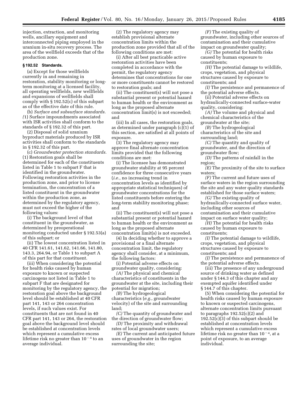injection, extraction, and monitoring wells, ancillary equipment and interconnected piping employed in the uranium in-situ recovery process. The area of the wellfield exceeds that of the production zone.

#### **§ 192.52 Standards.**

(a) Except for those wellfields currently in and remaining in restoration, stability monitoring or longterm monitoring at a licensed facility, all operating wellfields, new wellfields and expansions of wellfields shall comply with § 192.52(c) of this subpart as of the effective date of this rule.

(b) *Surface and subsurface standards. (*1) Surface impoundments associated with ISR activities shall conform to the standards of § 192.32 of this part.

(2) Disposal of solid uranium byproduct materials produced by ISR activities shall conform to the standards in § 192.32 of this part.

(c) *Groundwater protection standards.*  (1) Restoration goals shall be determined for each of the constituents listed in Table 1 to subpart F that is identified in the groundwater. Following restoration activities in the production zone, and prior to license termination, the concentration of a listed constituent in the groundwater within the production zone, as determined by the regulatory agency, must not exceed the higher of the following values:

(i) The background level of that constituent in the groundwater, as determined by preoperational monitoring conducted under § 192.53(a) of this subpart; or

(ii) The lowest concentration listed in 40 CFR 141.61, 141.62, 141.66, 141.80, 143.3, 264.94, or Table 1 to subpart A of this part for that constituent.

(iii) When considering the potential for health risks caused by human exposure to known or suspected carcinogens not listed in Table 1 to subpart F that are designated for monitoring by the regulatory agency, the restoration goal above the background level should be established at 40 CFR part 141, 143 or 264 concentration levels, if such values exist. For constituents that are not found in 40 CFR part 141, 143 or 264, the restoration goal above the background level should be established at concentration levels which represent a cumulative excess lifetime risk no greater than  $10^{-4}$  to an average individual.

(2) The regulatory agency may establish provisional alternate concentration limits within the production zone provided that all of the following conditions are met:

(i) After all best practicable active restoration activities have been completed in accordance with the permit, the regulatory agency determines that concentrations for one or more constituents cannot be restored to restoration goals; and

(ii) The constituent(s) will not pose a substantial present or potential hazard to human health or the environment as long as the proposed alternate concentration limit(s) is not exceeded; and

(iii) In all cases, the restoration goals, as determined under paragraph (c)(1) of this section, are satisfied at all points of exposure.

(3) The regulatory agency may approve final alternate concentration limits provided that the following conditions are met:

(i) The licensee has demonstrated groundwater stability at 95 percent confidence for three consecutive years (*i.e.,* no increasing trend in concentration levels as identified by appropriate statistical techniques) of groundwater concentrations for the listed constituents before entering the long-term stability monitoring phase; and

(ii) The constituent(s) will not pose a substantial present or potential hazard to human health or the environment as long as the proposed alternate concentration limit(s) is not exceeded.

(4) In deciding whether to approve a provisional or a final alternate concentration limit, the regulatory agency shall consider, at a minimum, the following factors:

(i) Potential adverse effects on groundwater quality, considering:

*(A)* The physical and chemical characteristics of constituents in the groundwater at the site, including their potential for migration;

*(B)* The hydrogeological characteristics (*e.g.,* groundwater velocity) of the site and surrounding land;

*(C)* The quantity of groundwater and the direction of groundwater flow;

*(D)* The proximity and withdrawal rates of local groundwater users;

*(E)* The current and anticipated future uses of groundwater in the region surrounding the site;

*(F)* The existing quality of groundwater, including other sources of contamination and their cumulative impact on groundwater quality;

*(G)* The potential for health risks caused by human exposure to constituents;

*(H)* The potential damage to wildlife, crops, vegetation, and physical structures caused by exposure to constituents; and

*(I)* The persistence and permanence of the potential adverse effects.

(ii) Potential adverse effects on hydraulically-connected surface-water quality, considering:

*(A)* The volume and physical and chemical characteristics of the groundwater at the site;

*(B)* The hydrogeological characteristics of the site and surrounding land;

*(C)* The quantity and quality of groundwater, and the direction of groundwater flow;

*(D)* The patterns of rainfall in the region;

*(E)* The proximity of the site to surface waters;

*(F)* The current and future uses of surface waters in the region surrounding the site and any water quality standards established for those surface waters;

*(G)* The existing quality of hydraulically-connected surface water, including other sources of contamination and their cumulative impact on surface water quality;

*(H)* The potential for health risks caused by human exposure to constituents;

*(I)* The potential damage to wildlife, crops, vegetation, and physical structures caused by exposure to constituents; and

*(J)* The persistence and permanence of the potential adverse effects.

(iii) The presence of any underground source of drinking water as defined under § 144.3 of this chapter and any exempted aquifer identified under § 144.7 of this chapter.

(5) When considering the potential for health risks caused by human exposure to known or suspected carcinogens, alternate concentration limits pursuant to paragraphs 192.52(c)(2) and  $192.52(c)(3)$  of this subpart should be established at concentration levels which represent a cumulative excess lifetime risk no greater than  $10^{-4}$ , at a point of exposure, to an average individual.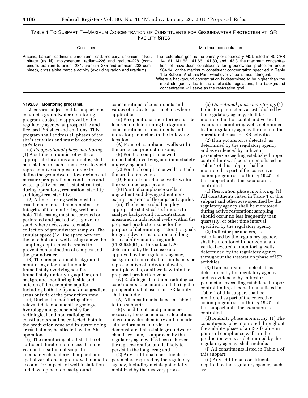TABLE 1 TO SUBPART F—MAXIMUM CONCENTRATION OF CONSTITUENTS FOR GROUNDWATER PROTECTION AT ISR FACILITY SITES

| Constituent                                                                                                                                                                                                                                                                   | Maximum concentration                                                                                                                                                                                                                                                                                                                                                                                                                                                                                                                                      |
|-------------------------------------------------------------------------------------------------------------------------------------------------------------------------------------------------------------------------------------------------------------------------------|------------------------------------------------------------------------------------------------------------------------------------------------------------------------------------------------------------------------------------------------------------------------------------------------------------------------------------------------------------------------------------------------------------------------------------------------------------------------------------------------------------------------------------------------------------|
| Arsenic, barium, cadmium, chromium, lead, mercury, selenium, silver,<br>nitrate (as N), molybdenum, radium-226 and radium-228 (com-<br>bined), uranium (uranium-234, uranium-235 and uranium-238 com-<br>bined), gross alpha particle activity (excluding radon and uranium). | The restoration goal is the primary or secondary MCL listed in 40 CFR<br>141.61, 141.62, 141.66, 141.80, and 143.3, the maximum concentra-<br>tion of hazardous constituents for groundwater protection under<br>264.94, or the maximum constituent concentration specified in Table<br>1 to Subpart A of this Part, whichever value is most stringent.<br>Where a background concentration is determined to be higher than the<br>most stringent value in the applicable regulations, the background<br>concentration will serve as the restoration goal. |

#### **§ 192.53 Monitoring programs.**

Licensees subject to this subpart must conduct a groundwater monitoring program, subject to approval by the regulatory agency, at prospective and licensed ISR sites and environs. This program shall address all phases of the site's activities and must be conducted as follows:

(a) *Preoperational phase monitoring.*  (1) A sufficient number of wells, at appropriate locations and depths, shall be installed in such a manner as to yield representative samples in order to define the groundwater flow regime and measure preoperational conditions and water quality for use in statistical tests during operations, restoration, stability and long-term stability.

(2) All monitoring wells must be cased in a manner that maintains the integrity of the monitoring-well bore hole. This casing must be screened or perforated and packed with gravel or sand, where necessary, to enable collection of groundwater samples. The annular space (*i.e.,* the space between the bore hole and well casing) above the sampling depth must be sealed to prevent contamination of samples and the groundwater.

(3) The preoperational background monitoring effort shall include immediately overlying aquifers, immediately underlying aquifers, and background monitoring inside and outside of the exempted aquifer, including both the up and downgradient areas outside of the production zone.

(4) During the monitoring effort, relevant data documenting geology, hydrology and geochemistry for radiological and non-radiological constituents shall be collected, both in the production zone and in surrounding areas that may be affected by the ISR operations.

(i) The monitoring effort shall be of sufficient duration of no less than one year and of sufficient scope to adequately characterize temporal and spatial variations in groundwater, and to account for impacts of well installation and development on background

concentrations of constituents and values of indicator parameters, where applicable.

(ii) Preoperational monitoring shall be focused on determining background concentrations of constituents and indicator parameters in the following locations:

(A) Point of compliance wells within the proposed production zone;

(B) Point of compliance wells immediately overlying and immediately underlying aquifers;

(C) Point of compliance wells outside the production zone;

(D) Point of compliance wells within the exempted aquifer; and

(E) Point of compliance wells in upgradient and downgradient nonexempt portions of the adjacent aquifer.

(iii) The licensee shall employ appropriate statistical techniques to analyze background concentrations measured in individual wells within the proposed production zone for the purpose of determining restoration goals for groundwater restoration and longterm stability monitoring under § 192.52(c)(1) of this subpart. As determined by the licensee and approved by the regulatory agency, background concentration limits may be representative of individual wells, multiple wells, or all wells within the proposed production zone.

(iv) Radiological and non-radiological constituents to be monitored during the preoperational phase of an ISR facility shall include:

(A) All constituents listed in Table 1 to this subpart;

(B) Constituents and parameters necessary for geochemical calculations of groundwater chemistry and to model site performance in order to demonstrate that a stable groundwater chemistry state, as approved by the regulatory agency, has been achieved through restoration and is likely to persist in the long term; and

(C) Any additional constituents or parameters required by the regulatory agency, including metals potentially mobilized by the recovery process.

(b) *Operational phase monitoring.* (1) Indicator parameters, as established by the regulatory agency, shall be monitored in horizontal and vertical excursion monitoring wells determined by the regulatory agency throughout the operational phase of ISR activities.

(2) If an excursion is detected, as determined by the regulatory agency and as evidenced by indicator parameters exceeding established upper control limits, all constituents listed in Table 1 of this subpart shall be monitored as part of the corrective action program set forth in § 192.54 of this subpart until the excursion is controlled.

(c) *Restoration phase monitoring.* (1) All constituents listed in Table 1 of this subpart and otherwise specified by the regulatory agency shall be monitored during active restoration; sampling should occur no less frequently than quarterly, or other time interval specified by the regulatory agency.

(2) Indicator parameters, as established by the regulatory agency, shall be monitored in horizontal and vertical excursion monitoring wells determined by the regulatory agency throughout the restoration phase of ISR activities.

(3) If an excursion is detected, as determined by the regulatory agency and as evidenced by indicator parameters exceeding established upper control limits, all constituents listed in Table 1 of this subpart shall be monitored as part of the corrective action program set forth in § 192.54 of this subpart until the excursion is controlled.

(d) *Stability phase monitoring.* (1) The constituents to be monitored throughout the stability phase of an ISR facility in points of compliance wells in the production zone, as determined by the regulatory agency, shall include:

(i) All constituents listed in Table 1 of this subpart;

(ii) Any additional constituents required by the regulatory agency, such as: